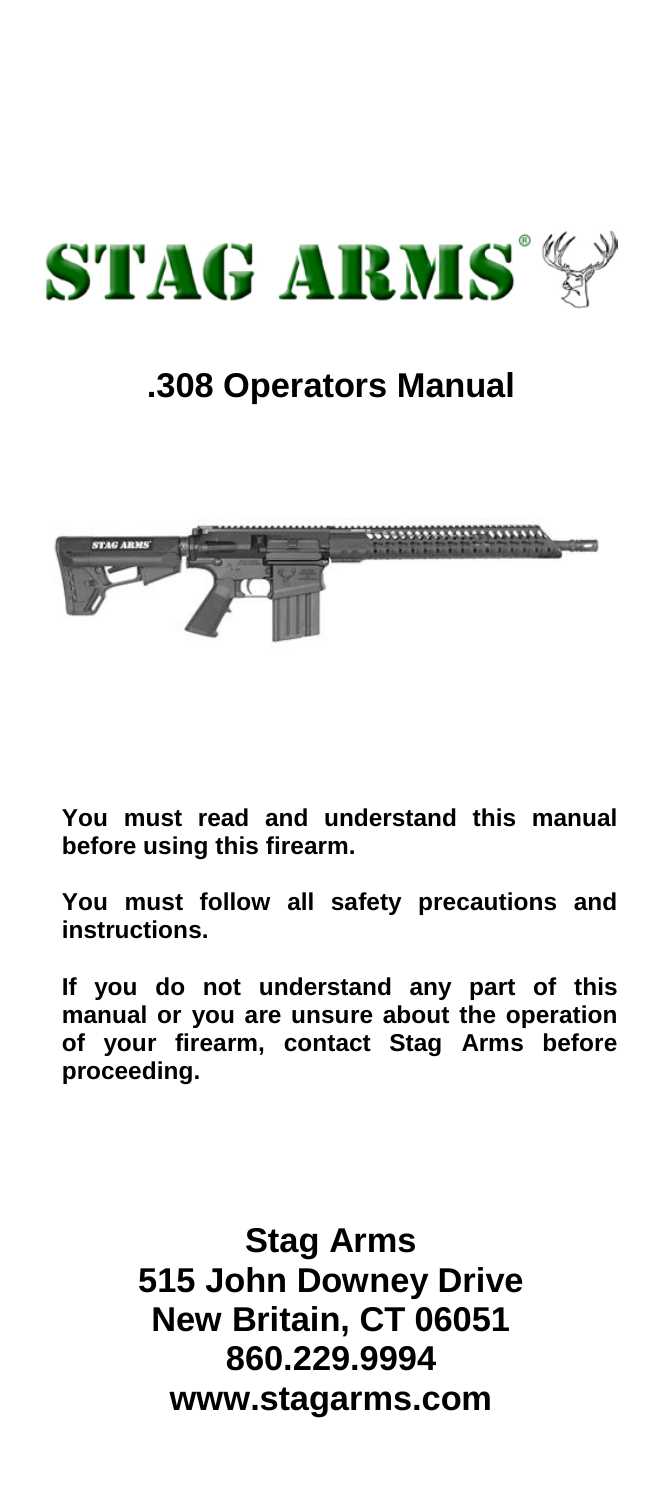

# **.308 Operators Manual**



**You must read and understand this manual before using this firearm.**

**You must follow all safety precautions and instructions.**

**If you do not understand any part of this manual or you are unsure about the operation of your firearm, contact Stag Arms before proceeding.**

> **Stag Arms 515 John Downey Drive New Britain, CT 06051 860.229.9994 www.stagarms.com**

ww.stagarms.com 1999. In the stage of the stage of the stage of the stage of the stage of the stage of the stage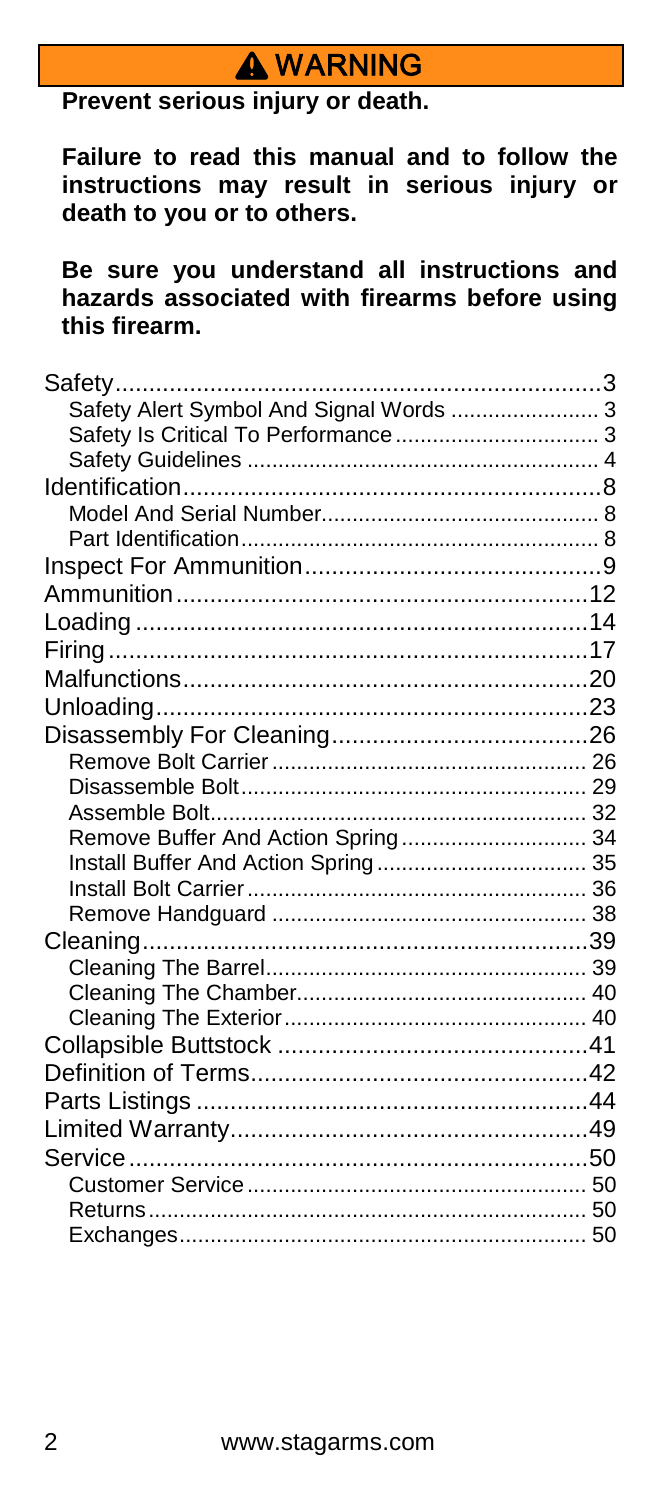# **A WARNING**

**Prevent serious injury or death.**

**Failure to read this manual and to follow the instructions may result in serious injury or death to you or to others.** 

**Be sure you understand all instructions and hazards associated with firearms before using this firearm.**

| Safety Alert Symbol And Signal Words  3 |  |
|-----------------------------------------|--|
|                                         |  |
|                                         |  |
|                                         |  |
|                                         |  |
|                                         |  |
|                                         |  |
|                                         |  |
|                                         |  |
|                                         |  |
|                                         |  |
|                                         |  |
|                                         |  |
|                                         |  |
|                                         |  |
|                                         |  |
| Remove Buffer And Action Spring 34      |  |
|                                         |  |
|                                         |  |
|                                         |  |
|                                         |  |
|                                         |  |
|                                         |  |
|                                         |  |
|                                         |  |
|                                         |  |
|                                         |  |
|                                         |  |
|                                         |  |
|                                         |  |
|                                         |  |
|                                         |  |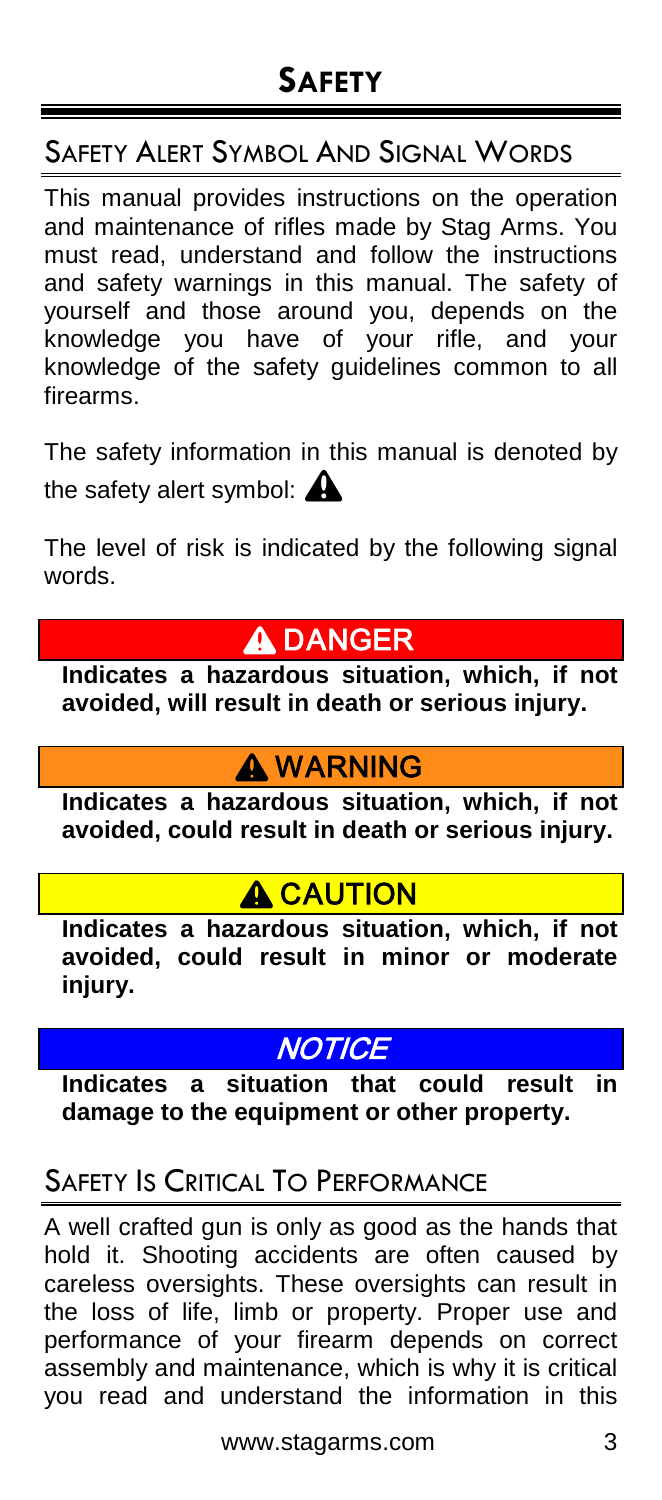## SAFETY ALERT SYMBOL AND SIGNAL WORDS

This manual provides instructions on the operation and maintenance of rifles made by Stag Arms. You must read, understand and follow the instructions and safety warnings in this manual. The safety of yourself and those around you, depends on the knowledge you have of your rifle, and your knowledge of the safety guidelines common to all firearms.

The safety information in this manual is denoted by the safety alert symbol:  $\triangle$ 

The level of risk is indicated by the following signal words.

# **A DANGER**

**Indicates a hazardous situation, which, if not avoided, will result in death or serious injury.** 

## **A WARNING**

**Indicates a hazardous situation, which, if not avoided, could result in death or serious injury.**

# A CAUTION

**Indicates a hazardous situation, which, if not avoided, could result in minor or moderate injury.**

# **NOTICE**

**Indicates a situation that could result in damage to the equipment or other property.**

# SAFETY IS CRITICAL TO PERFORMANCE

A well crafted gun is only as good as the hands that hold it. Shooting accidents are often caused by careless oversights. These oversights can result in the loss of life, limb or property. Proper use and performance of your firearm depends on correct assembly and maintenance, which is why it is critical you read and understand the information in this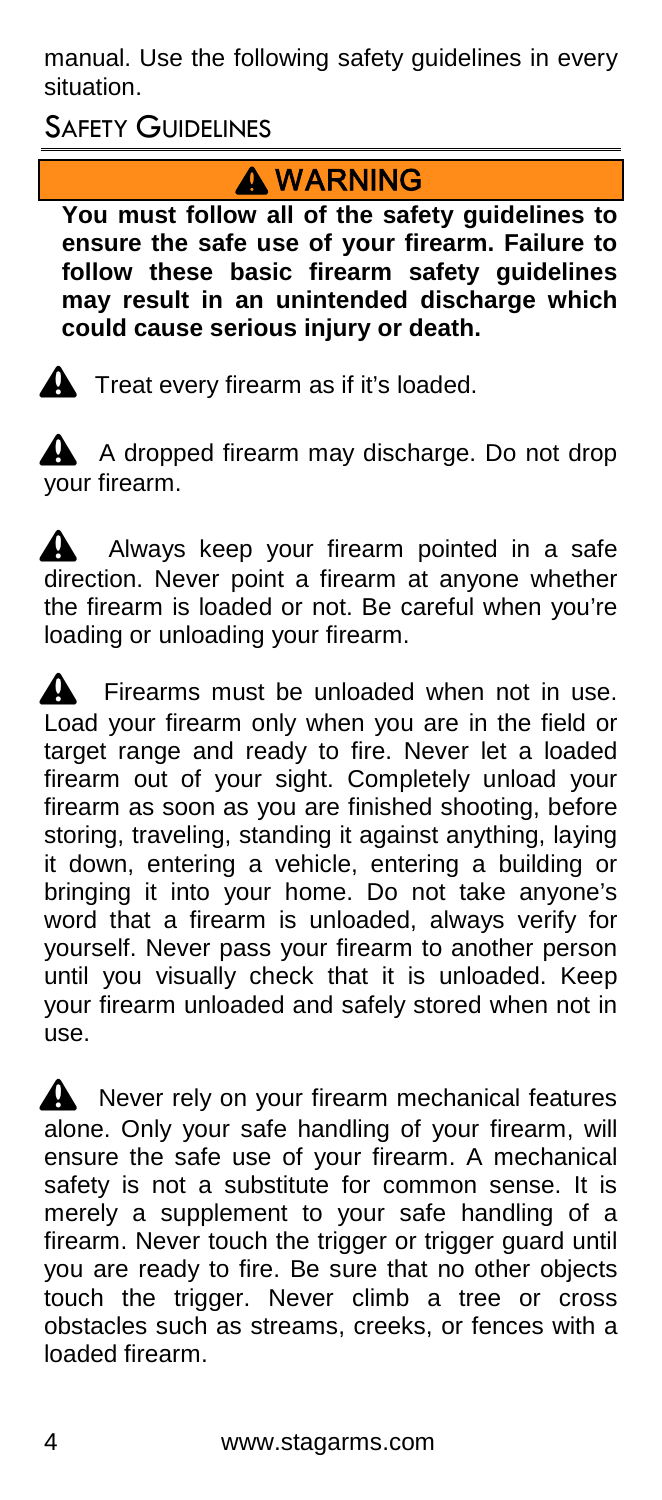manual. Use the following safety guidelines in every situation.

**SAFETY GUIDELINES** 

# **A** WARNING

**You must follow all of the safety guidelines to ensure the safe use of your firearm. Failure to follow these basic firearm safety guidelines may result in an unintended discharge which could cause serious injury or death.** 

 $\triangle$  Treat every firearm as if it's loaded.

A A dropped firearm may discharge. Do not drop your firearm.

 $\triangle$  Always keep your firearm pointed in a safe direction. Never point a firearm at anyone whether the firearm is loaded or not. Be careful when you're loading or unloading your firearm.

 $\mathbf A$  Firearms must be unloaded when not in use. Load your firearm only when you are in the field or target range and ready to fire. Never let a loaded firearm out of your sight. Completely unload your firearm as soon as you are finished shooting, before storing, traveling, standing it against anything, laying it down, entering a vehicle, entering a building or bringing it into your home. Do not take anyone's word that a firearm is unloaded, always verify for yourself. Never pass your firearm to another person until you visually check that it is unloaded. Keep your firearm unloaded and safely stored when not in use.

Never rely on your firearm mechanical features alone. Only your safe handling of your firearm, will ensure the safe use of your firearm. A mechanical safety is not a substitute for common sense. It is merely a supplement to your safe handling of a firearm. Never touch the trigger or trigger guard until you are ready to fire. Be sure that no other objects touch the trigger. Never climb a tree or cross obstacles such as streams, creeks, or fences with a loaded firearm.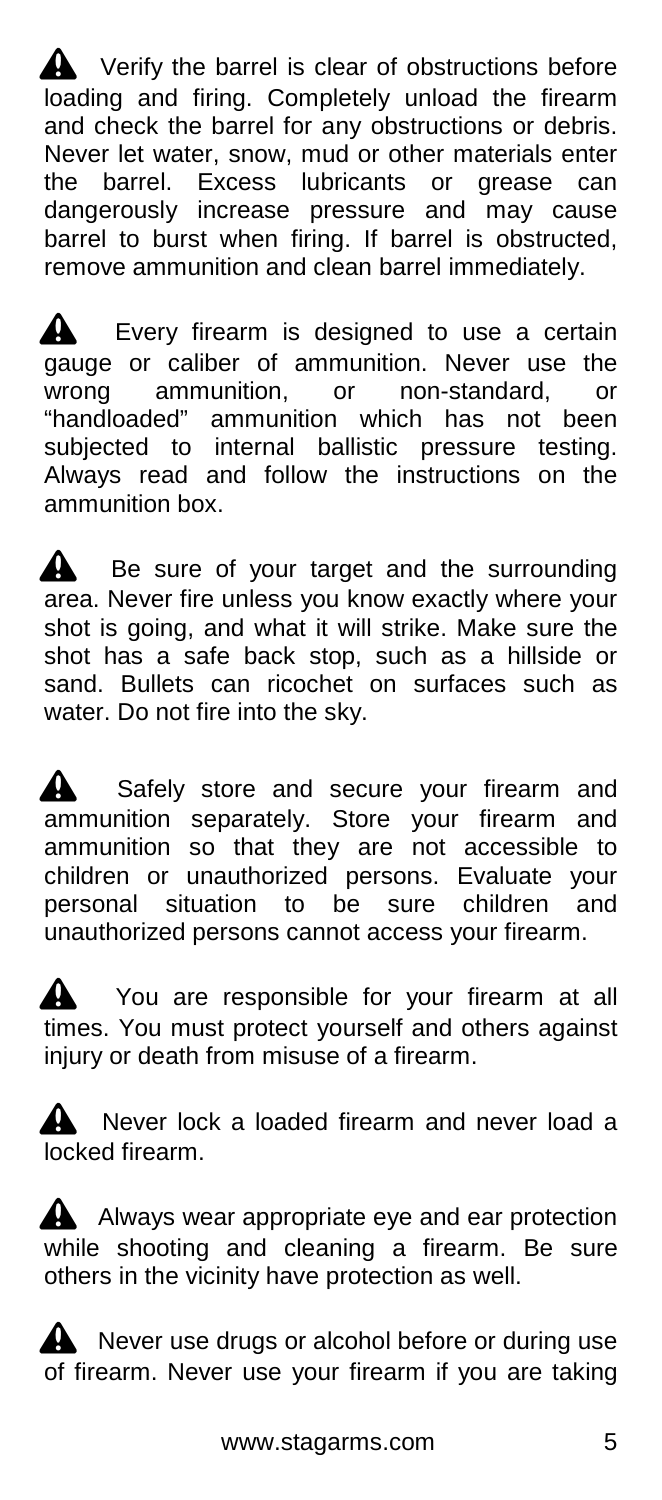$\triangle$  Verify the barrel is clear of obstructions before loading and firing. Completely unload the firearm and check the barrel for any obstructions or debris. Never let water, snow, mud or other materials enter the barrel. Excess lubricants or grease can dangerously increase pressure and may cause barrel to burst when firing. If barrel is obstructed, remove ammunition and clean barrel immediately.

Every firearm is designed to use a certain gauge or caliber of ammunition. Never use the<br>wrong ammunition. or non-standard. or wrong ammunition, or non-standard, or "handloaded" ammunition which has not been subjected to internal ballistic pressure testing. Always read and follow the instructions on the ammunition box.

Be sure of your target and the surrounding area. Never fire unless you know exactly where your shot is going, and what it will strike. Make sure the shot has a safe back stop, such as a hillside or sand. Bullets can ricochet on surfaces such as water. Do not fire into the sky.

**4** Safely store and secure your firearm and ammunition separately. Store your firearm and ammunition so that they are not accessible to children or unauthorized persons. Evaluate your personal situation to be sure children and unauthorized persons cannot access your firearm.

You are responsible for your firearm at all times. You must protect yourself and others against injury or death from misuse of a firearm.

Never lock a loaded firearm and never load a locked firearm.

 $\triangle$  Always wear appropriate eye and ear protection while shooting and cleaning a firearm. Be sure others in the vicinity have protection as well.

 $\triangle$  Never use drugs or alcohol before or during use of firearm. Never use your firearm if you are taking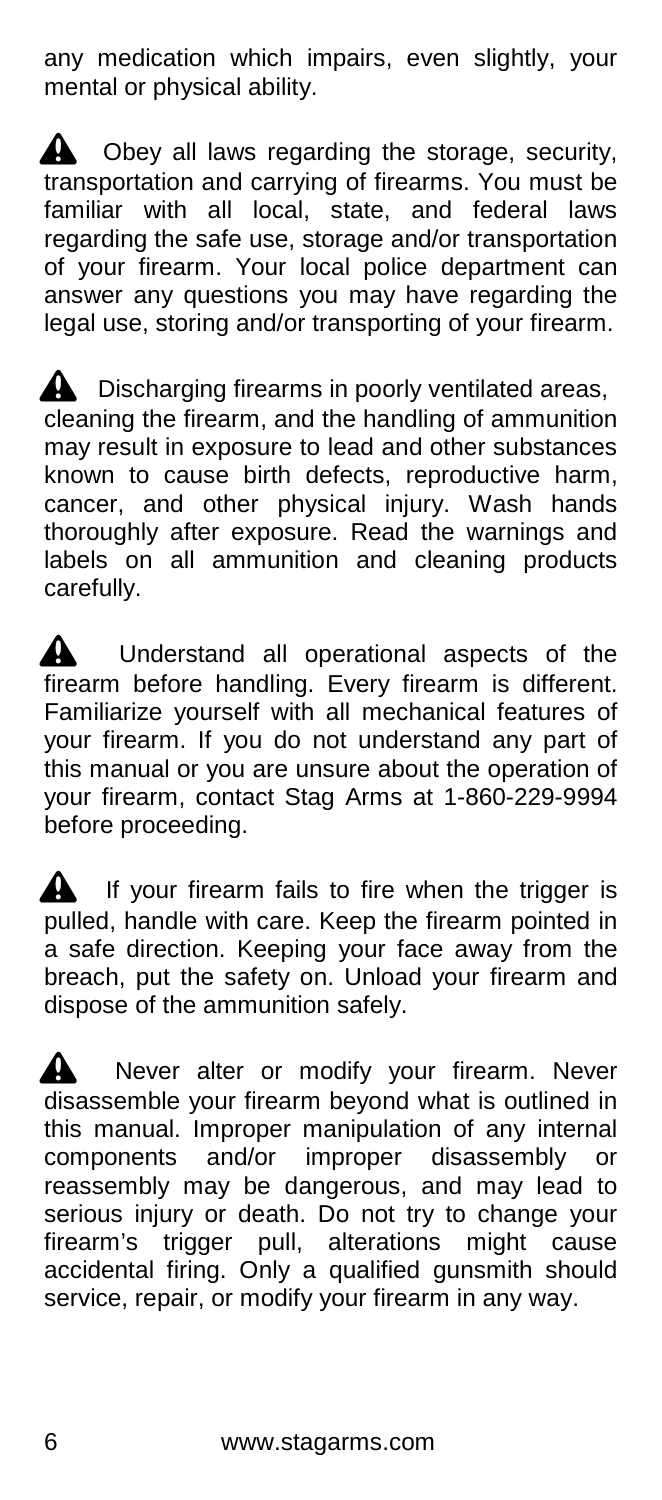any medication which impairs, even slightly, your mental or physical ability.

 $\triangle$  Obey all laws regarding the storage, security, transportation and carrying of firearms. You must be familiar with all local, state, and federal laws regarding the safe use, storage and/or transportation of your firearm. Your local police department can answer any questions you may have regarding the legal use, storing and/or transporting of your firearm.

 $\triangle$  Discharging firearms in poorly ventilated areas, cleaning the firearm, and the handling of ammunition may result in exposure to lead and other substances known to cause birth defects, reproductive harm, cancer, and other physical injury. Wash hands thoroughly after exposure. Read the warnings and labels on all ammunition and cleaning products carefully.

**A** Understand all operational aspects of the firearm before handling. Every firearm is different. Familiarize yourself with all mechanical features of your firearm. If you do not understand any part of this manual or you are unsure about the operation of your firearm, contact Stag Arms at 1-860-229-9994 before proceeding.

 $\triangle$  If your firearm fails to fire when the trigger is pulled, handle with care. Keep the firearm pointed in a safe direction. Keeping your face away from the breach, put the safety on. Unload your firearm and dispose of the ammunition safely.

Never alter or modify your firearm. Never disassemble your firearm beyond what is outlined in this manual. Improper manipulation of any internal components and/or improper disassembly or reassembly may be dangerous, and may lead to serious injury or death. Do not try to change your firearm's trigger pull, alterations might cause accidental firing. Only a qualified gunsmith should service, repair, or modify your firearm in any way.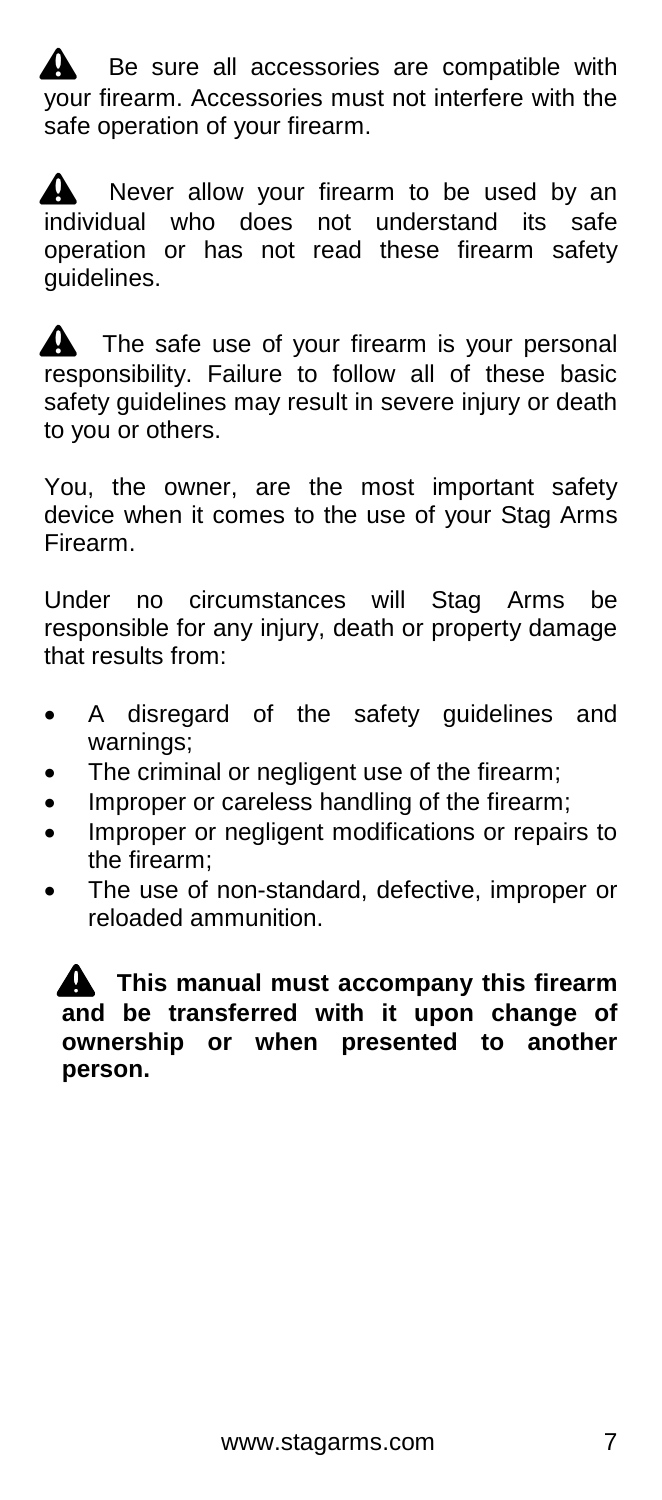Be sure all accessories are compatible with your firearm. Accessories must not interfere with the safe operation of your firearm.

 $\triangle$  Never allow your firearm to be used by an individual who does not understand its safe operation or has not read these firearm safety guidelines.

The safe use of your firearm is your personal responsibility. Failure to follow all of these basic safety guidelines may result in severe injury or death to you or others.

You, the owner, are the most important safety device when it comes to the use of your Stag Arms Firearm.

Under no circumstances will Stag Arms be responsible for any injury, death or property damage that results from:

- A disregard of the safety guidelines and warnings;
- The criminal or negligent use of the firearm;
- Improper or careless handling of the firearm;
- Improper or negligent modifications or repairs to the firearm;
- The use of non-standard, defective, improper or reloaded ammunition.

^ **This manual must accompany this firearm and be transferred with it upon change of ownership or when presented to another person.**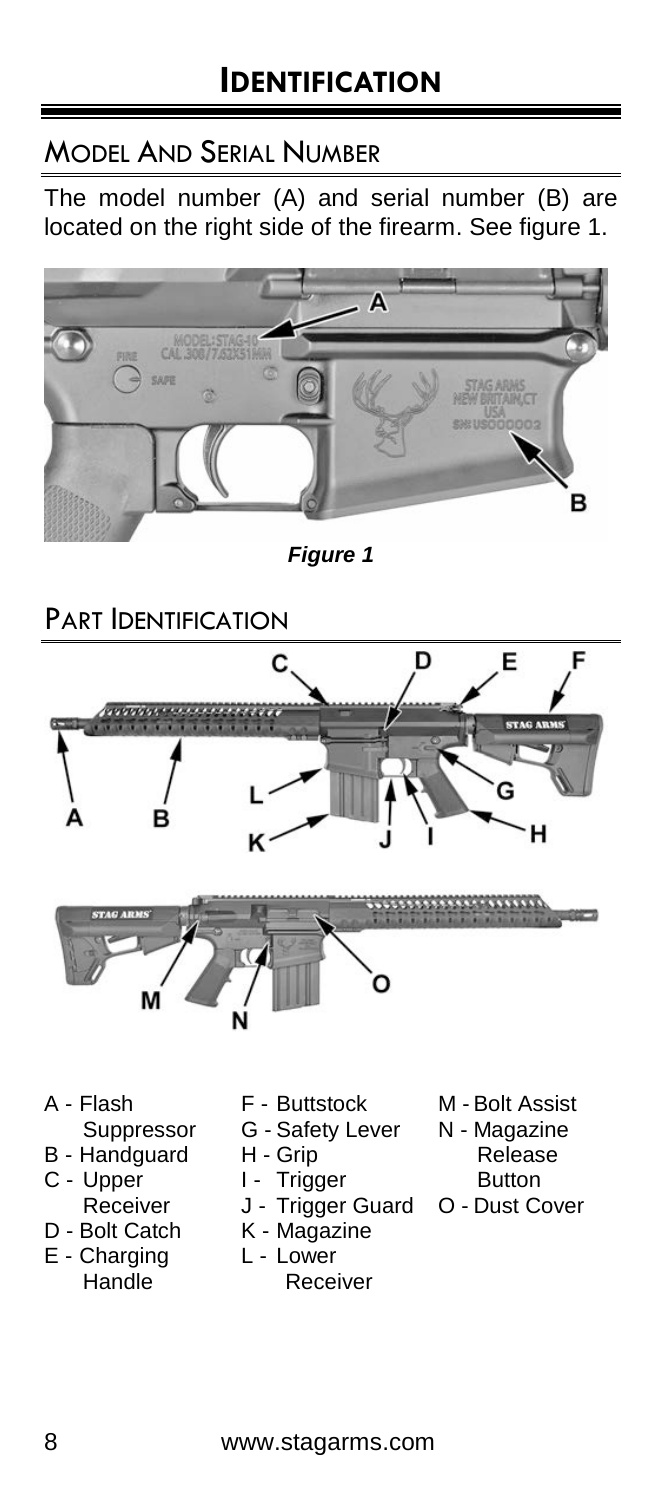### MODEL AND SERIAL NUMBER

The model number (A) and serial number (B) are located on the right side of the firearm. See figure 1.



*Figure 1*

# PART **IDENTIFICATION**





A - Flash Suppressor

- B Handguard
- C Upper
- Receiver D - Bolt Catch
- 
- E Charging Handle
- F Buttstock
- G Safety Lever
- H Grip
- I Trigger
- J Trigger Guard
- K Magazine
- L Lower Receiver
- M Bolt Assist
- N Magazine
	- Release
	- **Button**
- O Dust Cover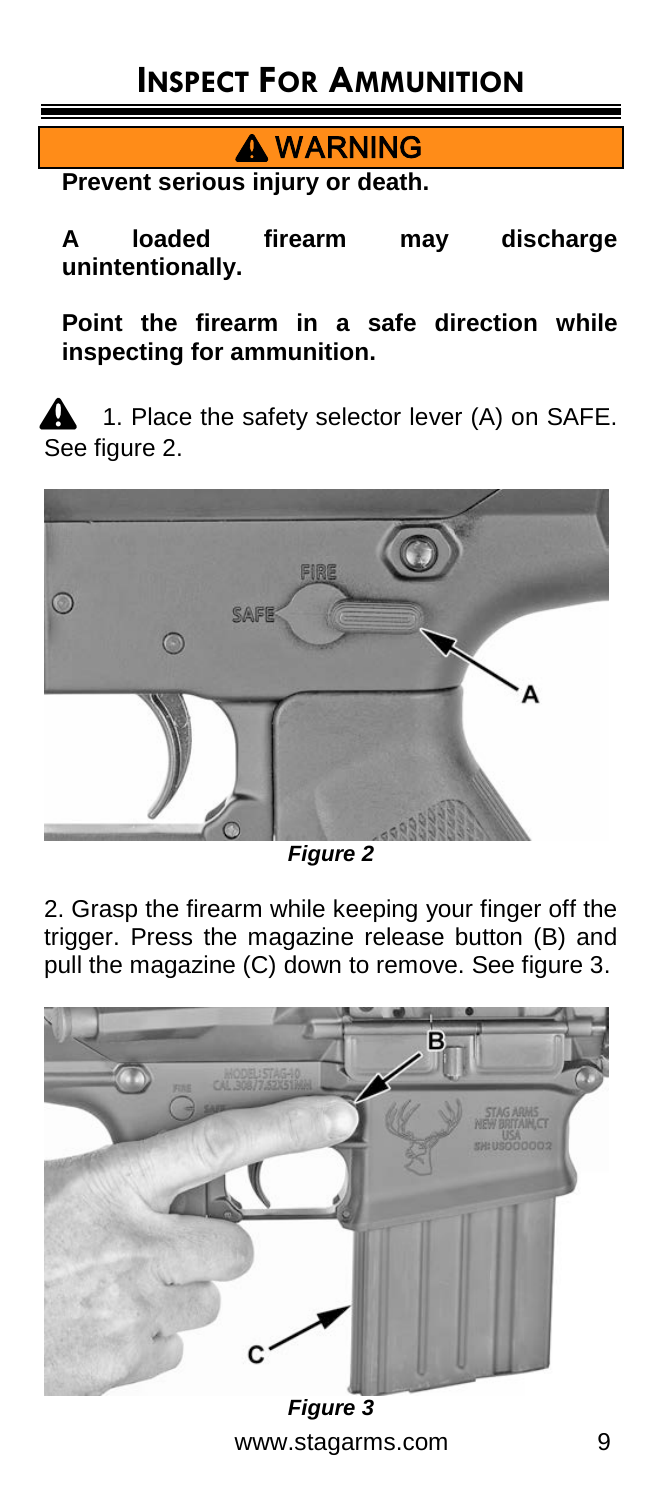**A** WARNING

**Prevent serious injury or death.**

**A loaded firearm may discharge unintentionally.**

**Point the firearm in a safe direction while inspecting for ammunition.**

1. Place the safety selector lever (A) on SAFE. See figure 2.



*Figure 2*

2. Grasp the firearm while keeping your finger off the trigger. Press the magazine release button (B) and pull the magazine (C) down to remove. See figure 3.



www.stagarms.com 9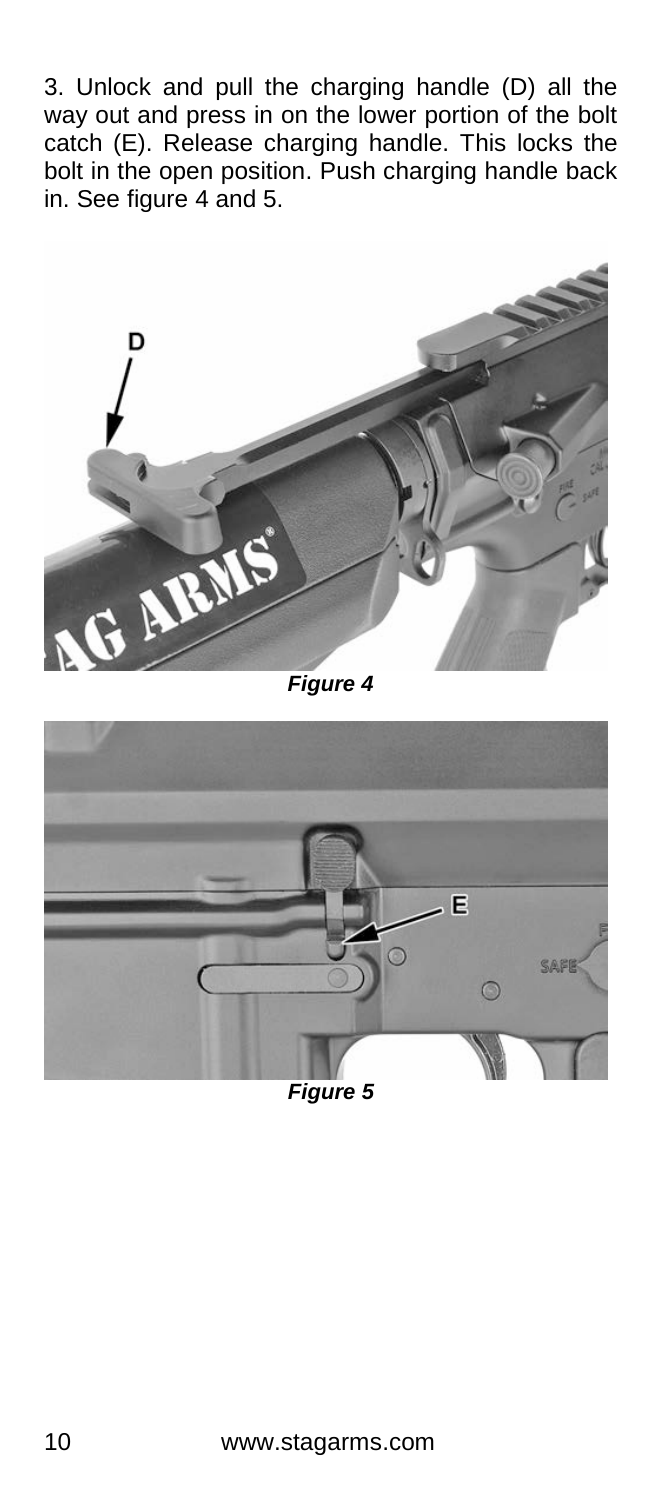3. Unlock and pull the charging handle (D) all the way out and press in on the lower portion of the bolt catch (E). Release charging handle. This locks the bolt in the open position. Push charging handle back in. See figure 4 and 5.



*Figure 4* 

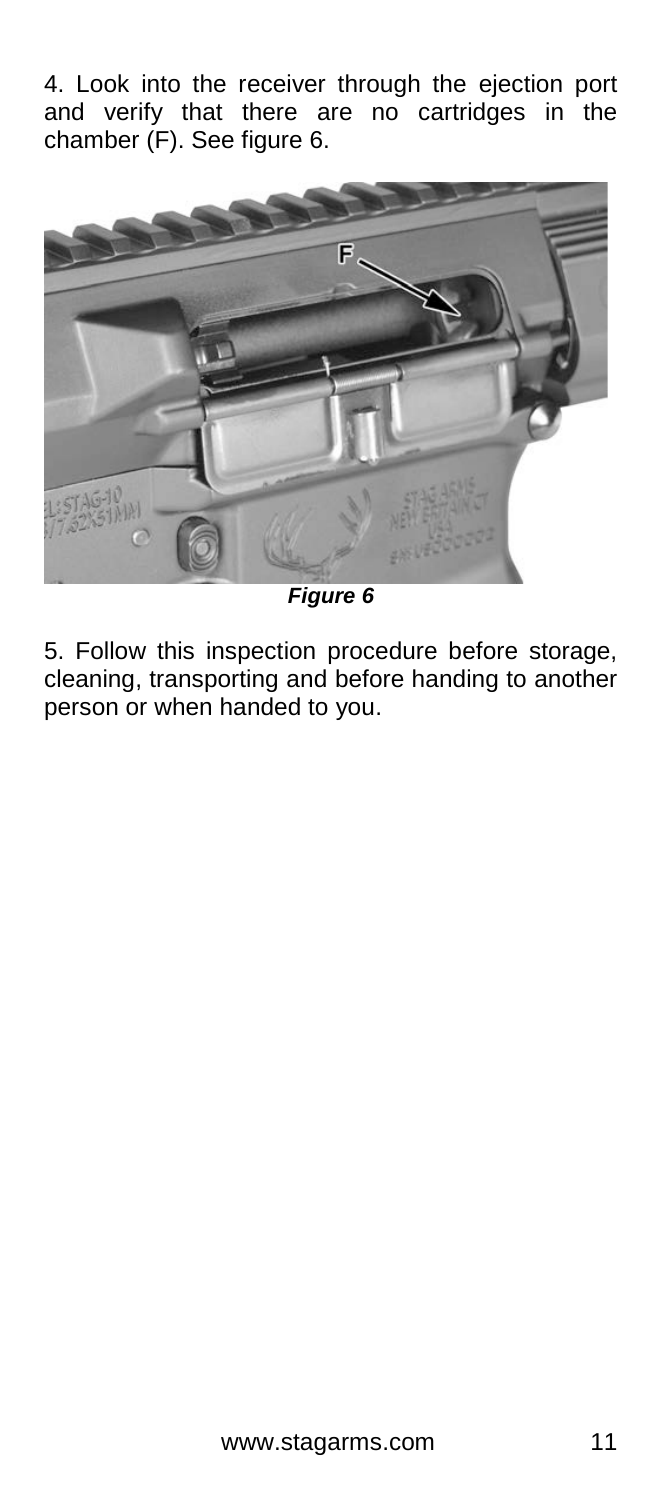4. Look into the receiver through the ejection port and verify that there are no cartridges in the chamber (F). See figure 6.



*Figure 6*

5. Follow this inspection procedure before storage, cleaning, transporting and before handing to another person or when handed to you.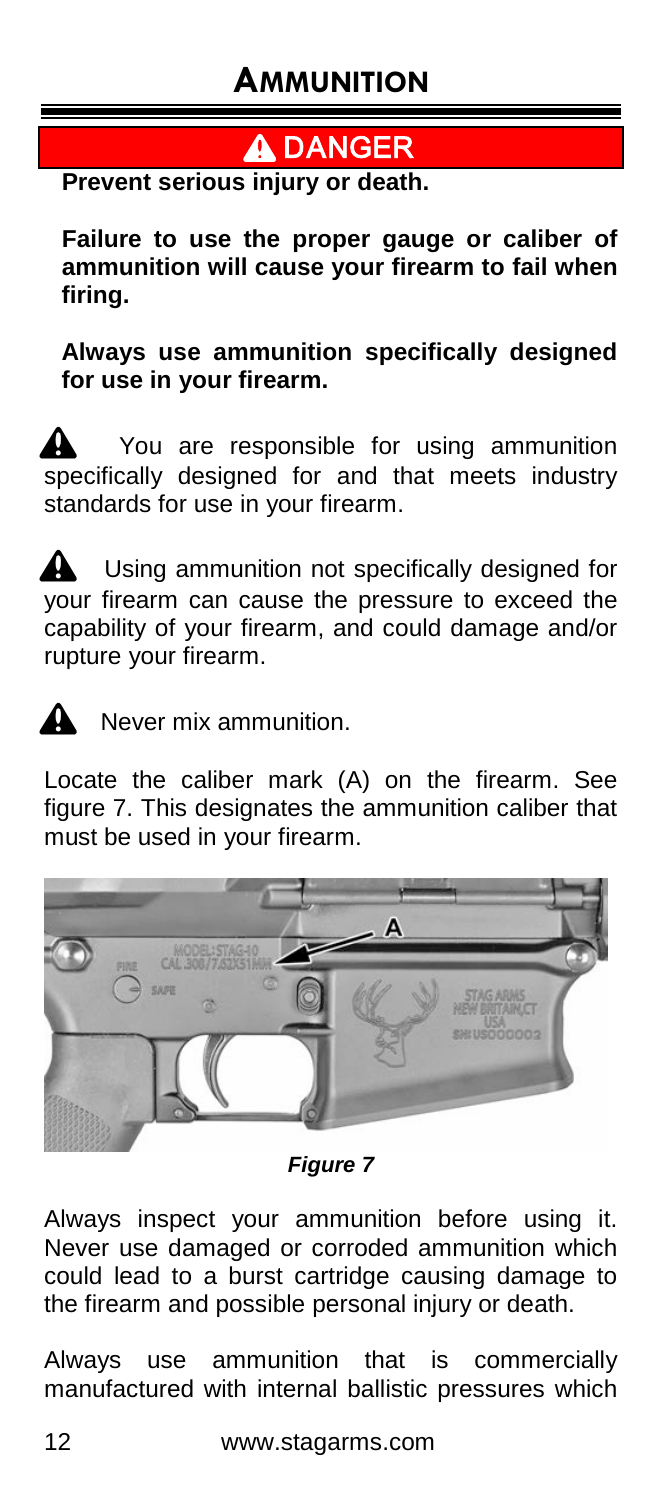$\blacktriangle$  DANGER

**Prevent serious injury or death.**

**Failure to use the proper gauge or caliber of ammunition will cause your firearm to fail when firing.**

**Always use ammunition specifically designed for use in your firearm.**

You are responsible for using ammunition  $\overline{\phantom{a}}$  specifically designed for and that meets industry standards for use in your firearm.

Using ammunition not specifically designed for your firearm can cause the pressure to exceed the capability of your firearm, and could damage and/or rupture your firearm.



 $\mathbf{\Omega}$  Never mix ammunition.

Locate the caliber mark (A) on the firearm. See figure 7. This designates the ammunition caliber that must be used in your firearm.



*Figure 7*

Always inspect your ammunition before using it. Never use damaged or corroded ammunition which could lead to a burst cartridge causing damage to the firearm and possible personal injury or death.

Always use ammunition that is commercially manufactured with internal ballistic pressures which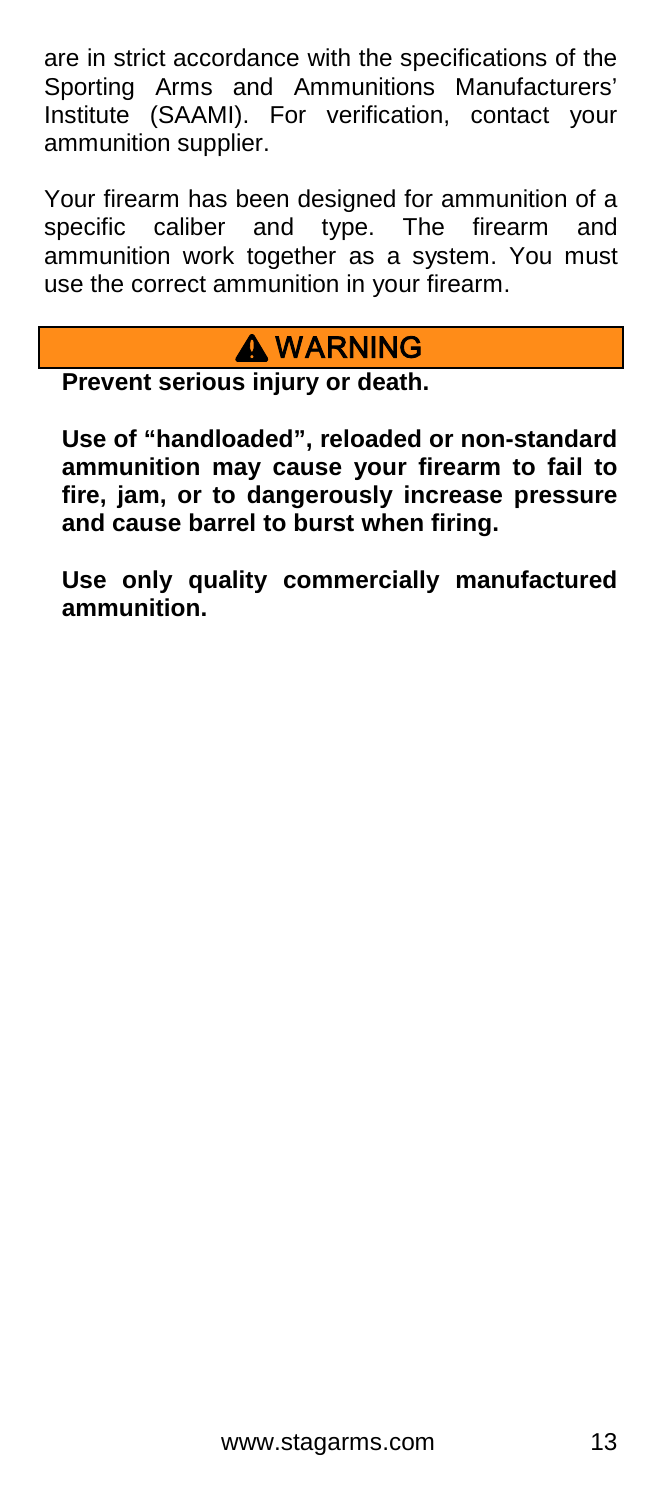are in strict accordance with the specifications of the Sporting Arms and Ammunitions Manufacturers' Institute (SAAMI). For verification, contact your ammunition supplier.

Your firearm has been designed for ammunition of a specific caliber and type. The firearm and ammunition work together as a system. You must use the correct ammunition in your firearm.

# **A WARNING**

**Prevent serious injury or death.**

**Use of "handloaded", reloaded or non-standard ammunition may cause your firearm to fail to fire, jam, or to dangerously increase pressure and cause barrel to burst when firing.**

**Use only quality commercially manufactured ammunition.**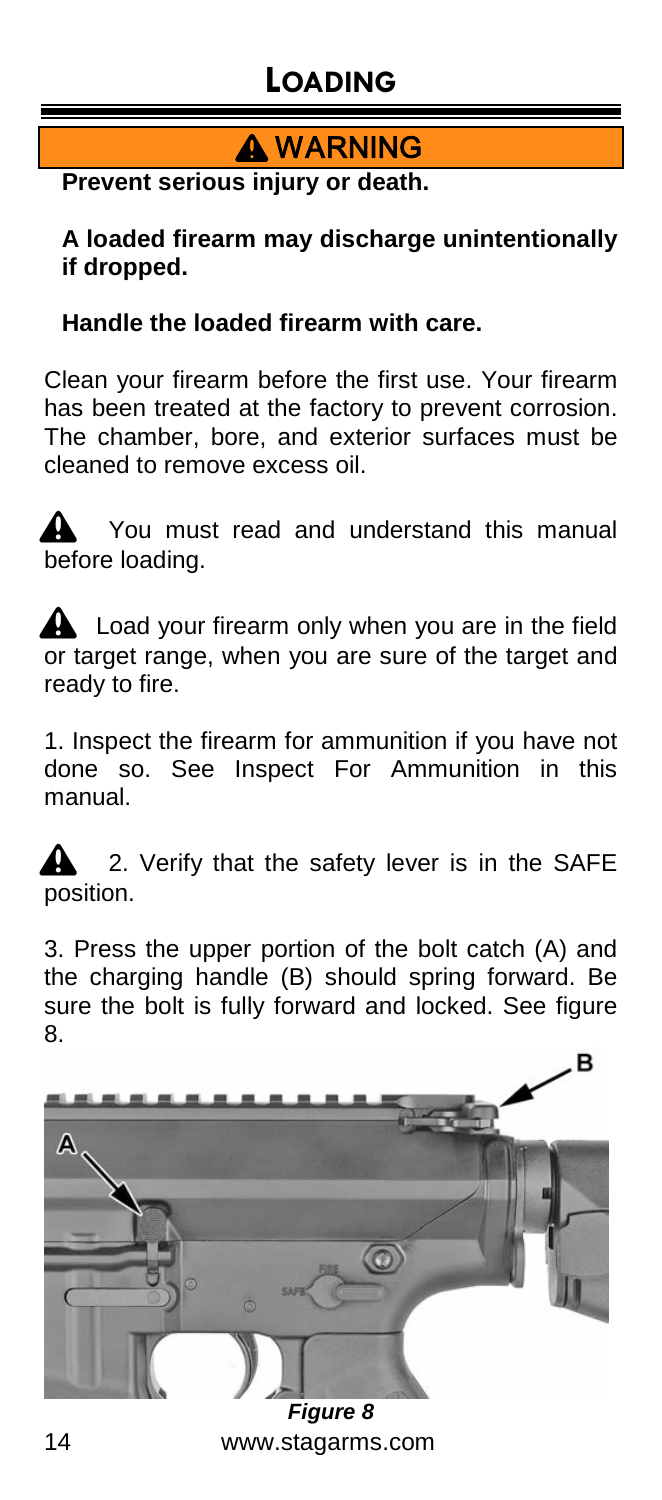# **LOADING**

**A WARNING** 

**Prevent serious injury or death.**

**A loaded firearm may discharge unintentionally if dropped.**

#### **Handle the loaded firearm with care.**

Clean your firearm before the first use. Your firearm has been treated at the factory to prevent corrosion. The chamber, bore, and exterior surfaces must be cleaned to remove excess oil.

You must read and understand this manual before loading.

**A** Load your firearm only when you are in the field or target range, when you are sure of the target and ready to fire.

1. Inspect the firearm for ammunition if you have not done so. See Inspect For Ammunition in this manual.

2. Verify that the safety lever is in the SAFE position.

3. Press the upper portion of the bolt catch (A) and the charging handle (B) should spring forward. Be sure the bolt is fully forward and locked. See figure 8.

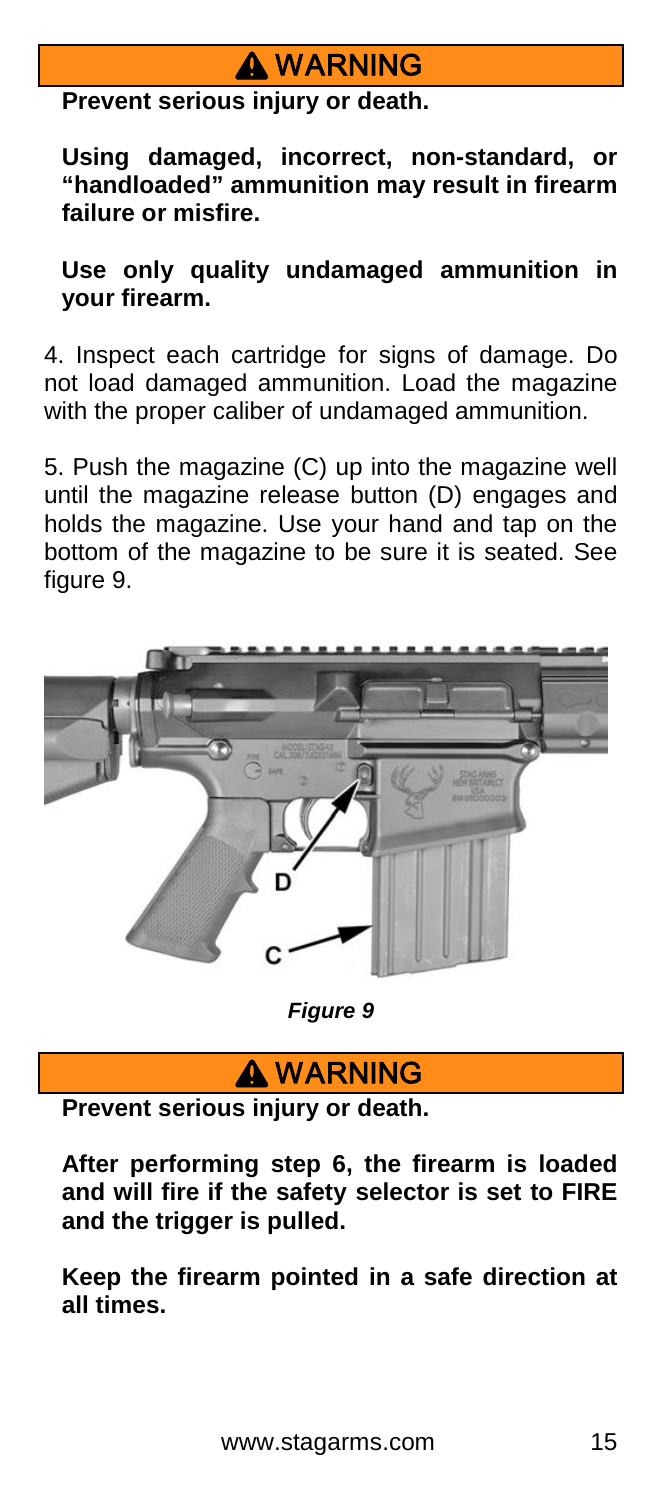# **A** WARNING

**Prevent serious injury or death.**

**Using damaged, incorrect, non-standard, or "handloaded" ammunition may result in firearm failure or misfire.**

**Use only quality undamaged ammunition in your firearm.**

4. Inspect each cartridge for signs of damage. Do not load damaged ammunition. Load the magazine with the proper caliber of undamaged ammunition.

5. Push the magazine (C) up into the magazine well until the magazine release button (D) engages and holds the magazine. Use your hand and tap on the bottom of the magazine to be sure it is seated. See figure 9.



*Figure 9*

### **A** WARNING

**Prevent serious injury or death.**

**After performing step 6, the firearm is loaded and will fire if the safety selector is set to FIRE and the trigger is pulled.**

**Keep the firearm pointed in a safe direction at all times.**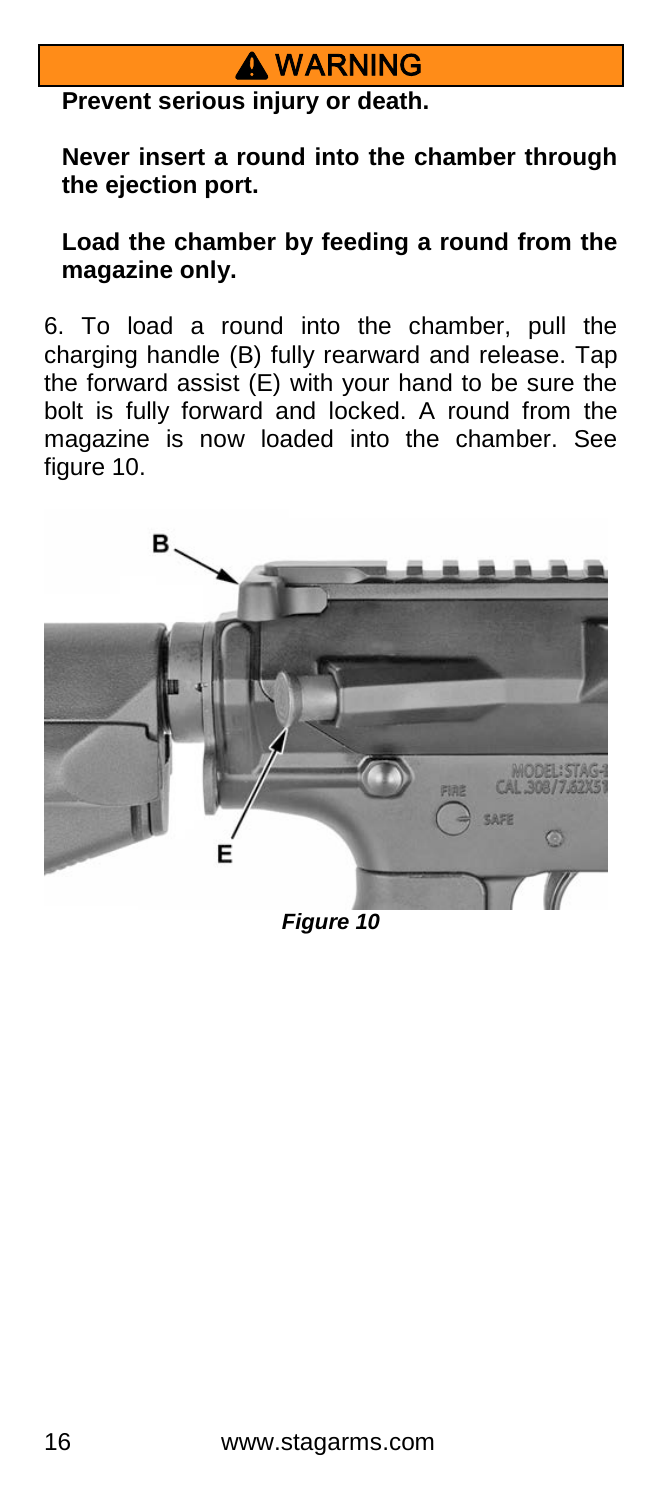## **A** WARNING

**Prevent serious injury or death.**

**Never insert a round into the chamber through the ejection port.**

**Load the chamber by feeding a round from the magazine only.**

6. To load a round into the chamber, pull the charging handle (B) fully rearward and release. Tap the forward assist (E) with your hand to be sure the bolt is fully forward and locked. A round from the magazine is now loaded into the chamber. See figure 10.



*Figure 10*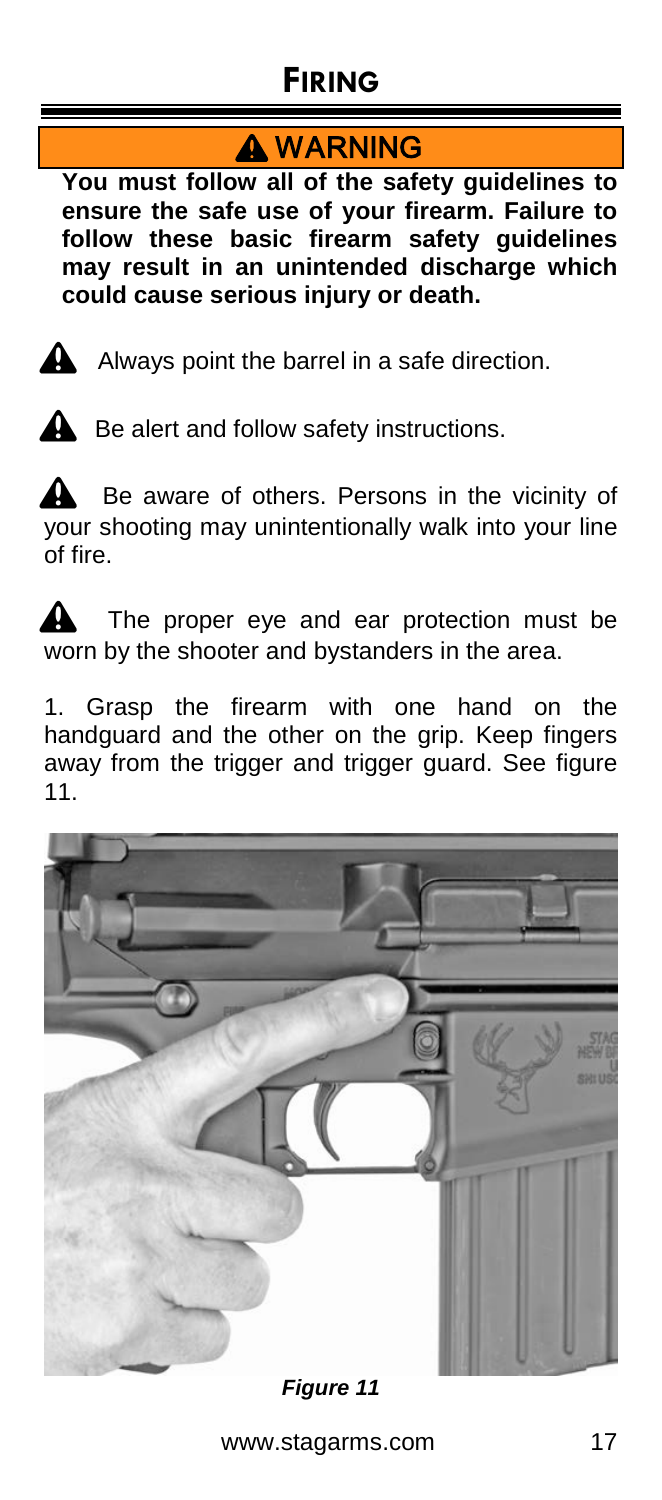# **FIRING**

# **A** WARNING

**You must follow all of the safety guidelines to ensure the safe use of your firearm. Failure to follow these basic firearm safety guidelines may result in an unintended discharge which could cause serious injury or death.** 



 $\triangle$  Always point the barrel in a safe direction.



 $\triangle$  Be alert and follow safety instructions.

Be aware of others. Persons in the vicinity of your shooting may unintentionally walk into your line of fire.

The proper eye and ear protection must be worn by the shooter and bystanders in the area.

1. Grasp the firearm with one hand on the handguard and the other on the grip. Keep fingers away from the trigger and trigger guard. See figure 11.



*Figure 11*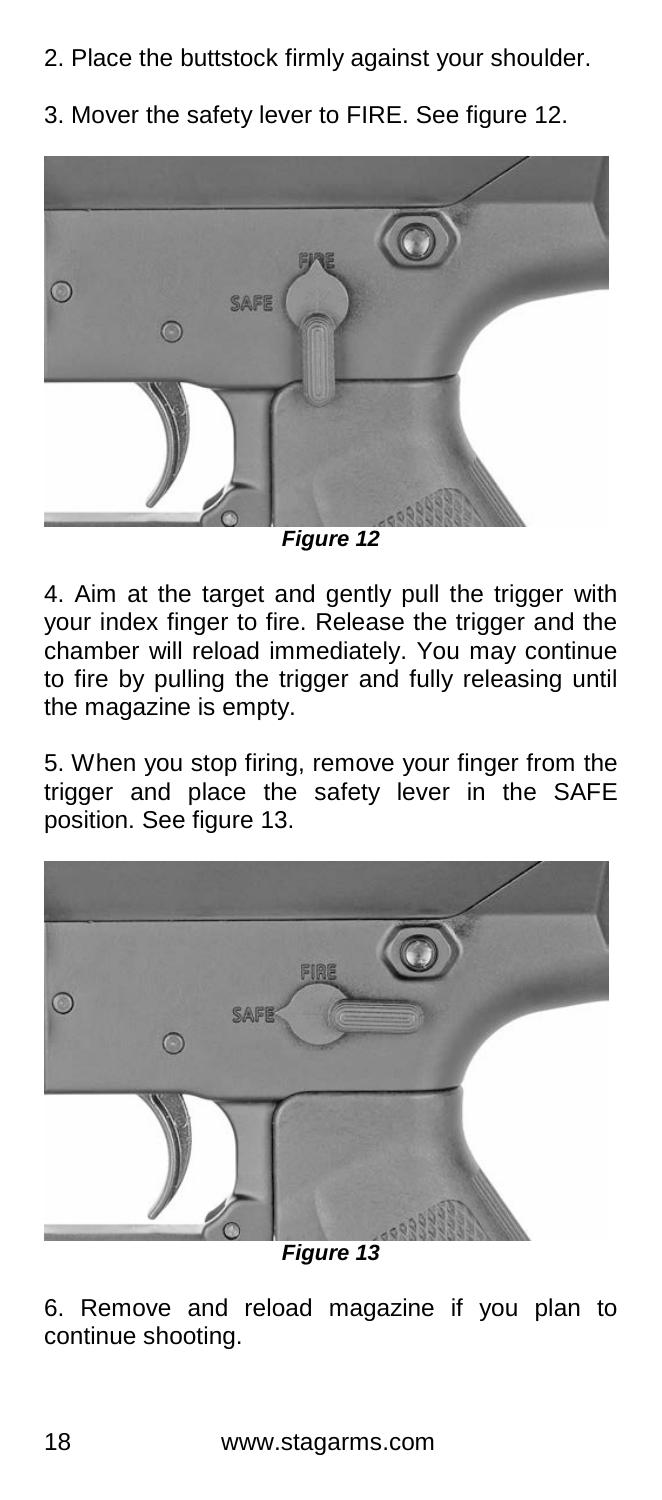- 2. Place the buttstock firmly against your shoulder.
- 3. Mover the safety lever to FIRE. See figure 12.



*Figure 12*

4. Aim at the target and gently pull the trigger with your index finger to fire. Release the trigger and the chamber will reload immediately. You may continue to fire by pulling the trigger and fully releasing until the magazine is empty.

5. When you stop firing, remove your finger from the trigger and place the safety lever in the SAFE position. See figure 13.



*Figure 13*

6. Remove and reload magazine if you plan to continue shooting.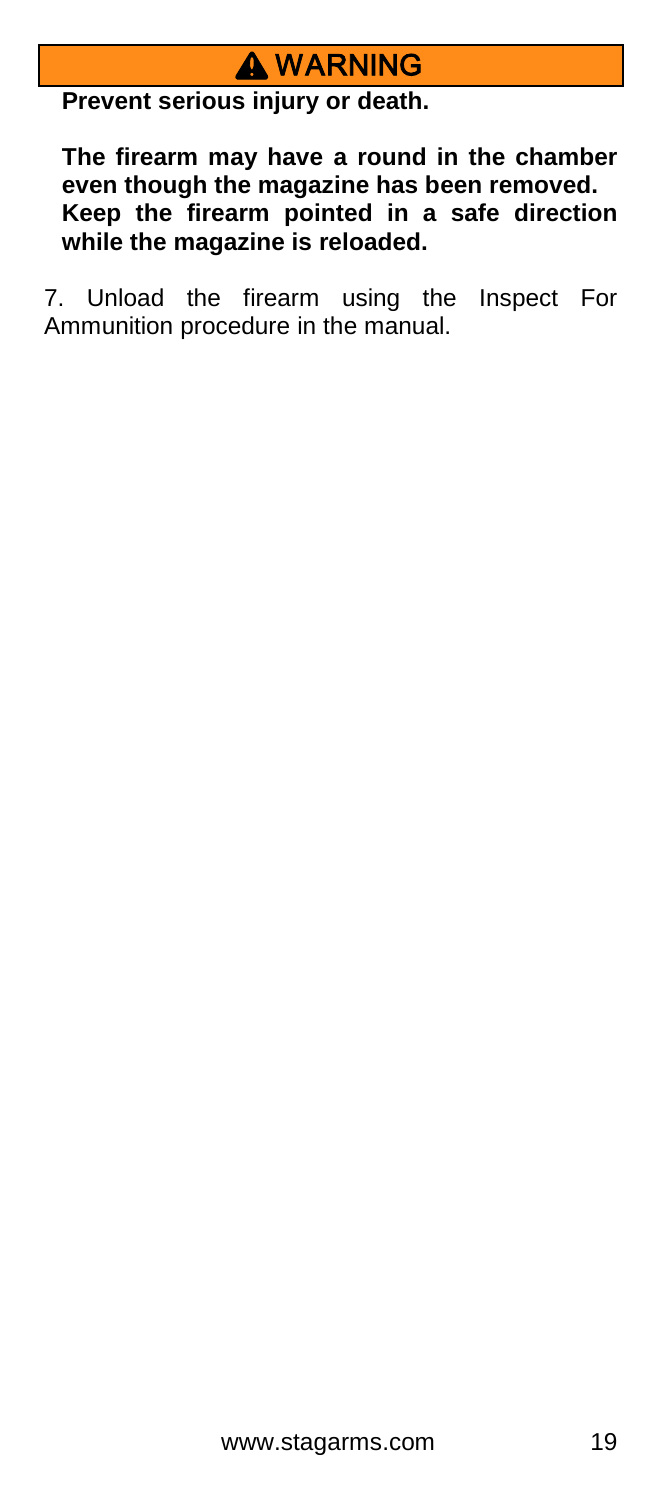

**Prevent serious injury or death.**

**The firearm may have a round in the chamber even though the magazine has been removed. Keep the firearm pointed in a safe direction while the magazine is reloaded.**

7. Unload the firearm using the Inspect For Ammunition procedure in the manual.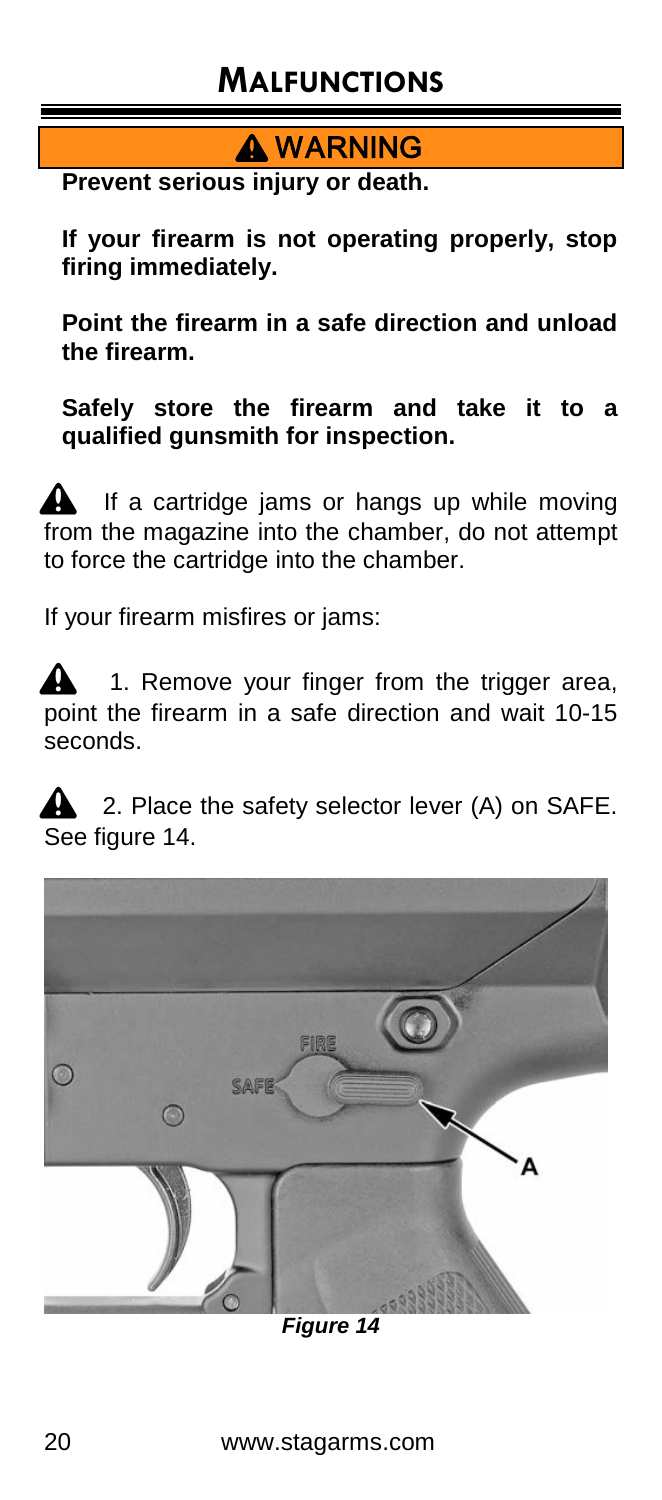# **MALFUNCTIONS**

**A** WARNING

**Prevent serious injury or death.**

**If your firearm is not operating properly, stop firing immediately.**

**Point the firearm in a safe direction and unload the firearm.** 

**Safely store the firearm and take it to a qualified gunsmith for inspection.**

If a cartridge jams or hangs up while moving from the magazine into the chamber, do not attempt to force the cartridge into the chamber.

If your firearm misfires or jams:

1. Remove your finger from the trigger area, point the firearm in a safe direction and wait 10-15 seconds.

2. Place the safety selector lever (A) on SAFE. See figure 14.



*Figure 14*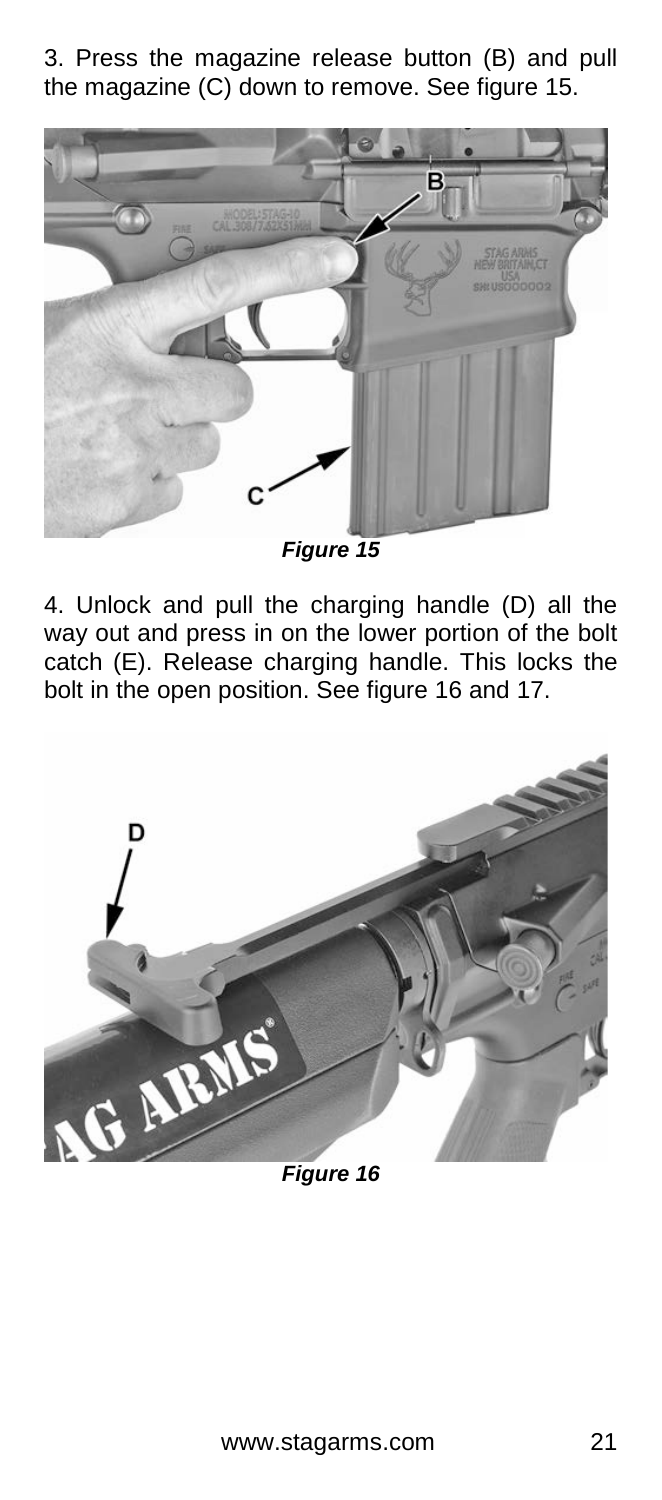3. Press the magazine release button (B) and pull the magazine (C) down to remove. See figure 15.



*Figure 15*

4. Unlock and pull the charging handle (D) all the way out and press in on the lower portion of the bolt catch (E). Release charging handle. This locks the bolt in the open position. See figure 16 and 17.



*Figure 16*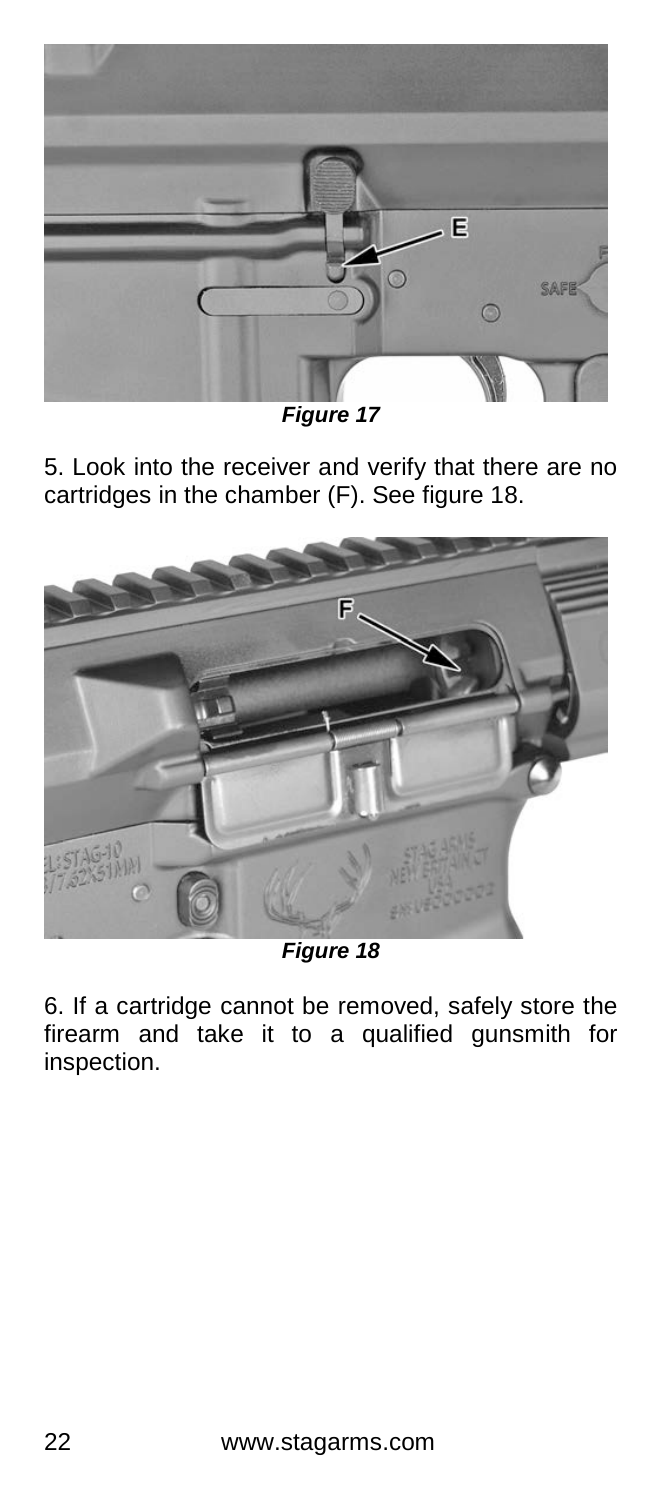

*Figure 17*

5. Look into the receiver and verify that there are no cartridges in the chamber (F). See figure 18.



*Figure 18*

6. If a cartridge cannot be removed, safely store the firearm and take it to a qualified gunsmith for inspection.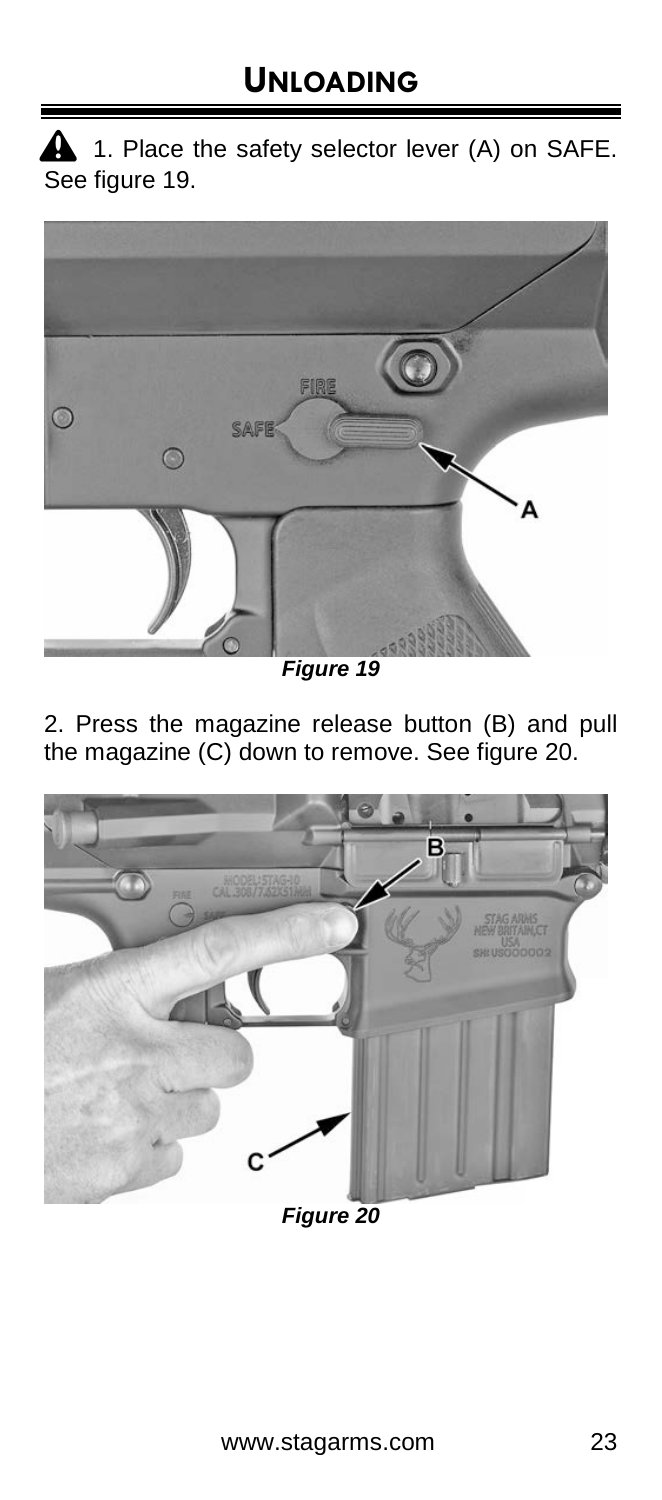$\triangle$  1. Place the safety selector lever (A) on SAFE. See figure 19.



*Figure 19*

2. Press the magazine release button (B) and pull the magazine (C) down to remove. See figure 20.



*Figure 20*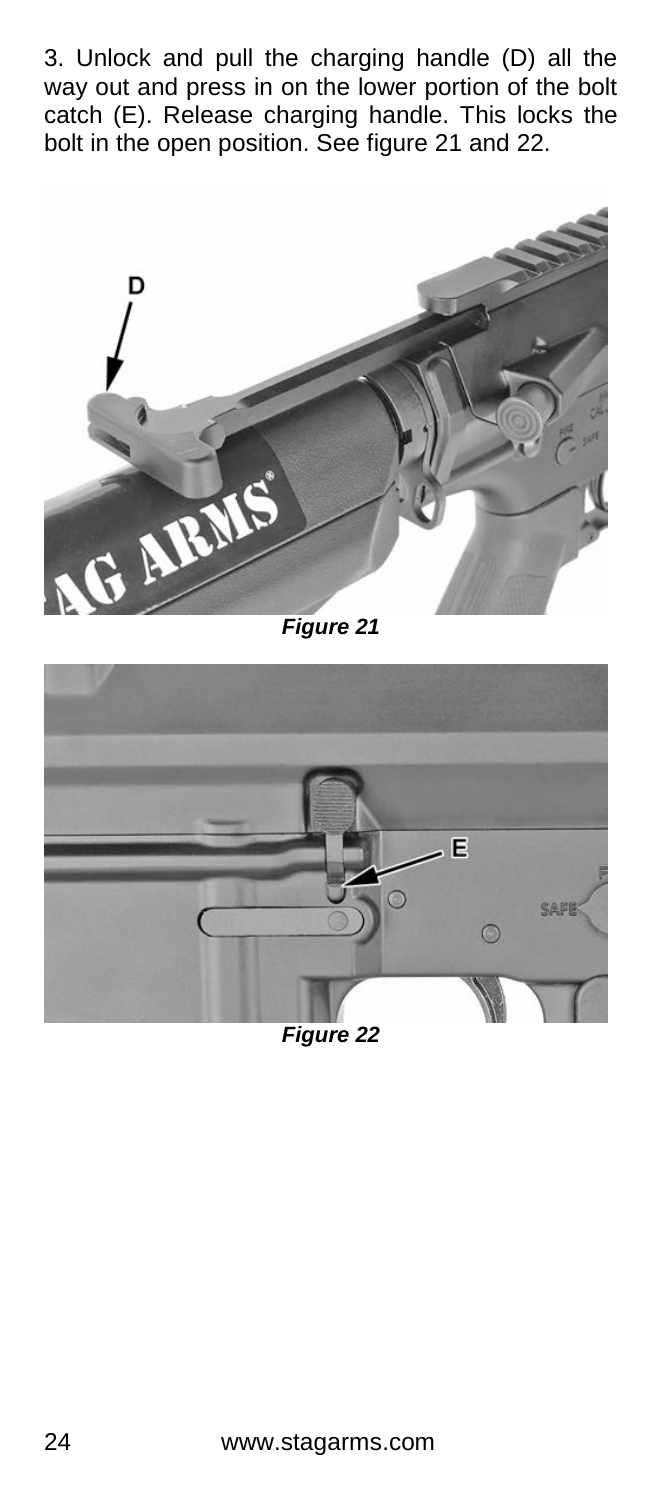3. Unlock and pull the charging handle (D) all the way out and press in on the lower portion of the bolt catch (E). Release charging handle. This locks the bolt in the open position. See figure 21 and 22.



*Figure 21*

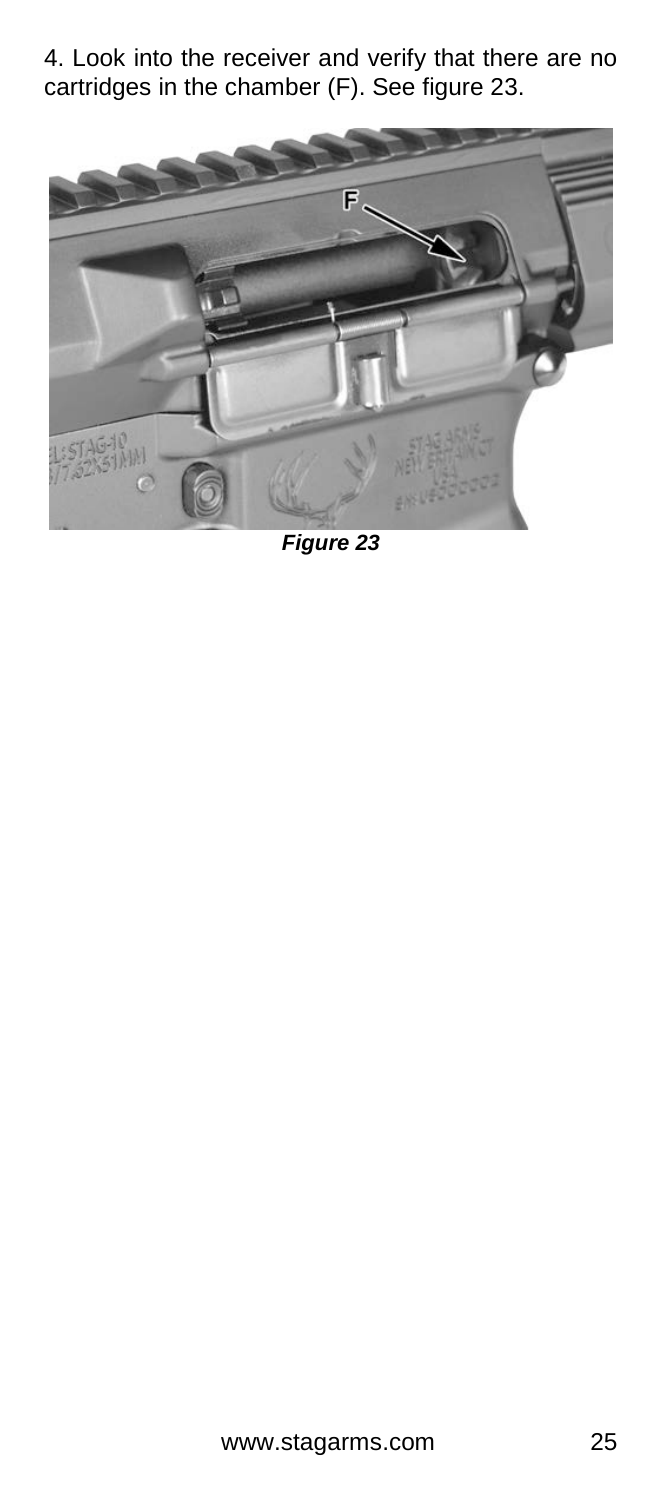4. Look into the receiver and verify that there are no cartridges in the chamber (F). See figure 23.



*Figure 23*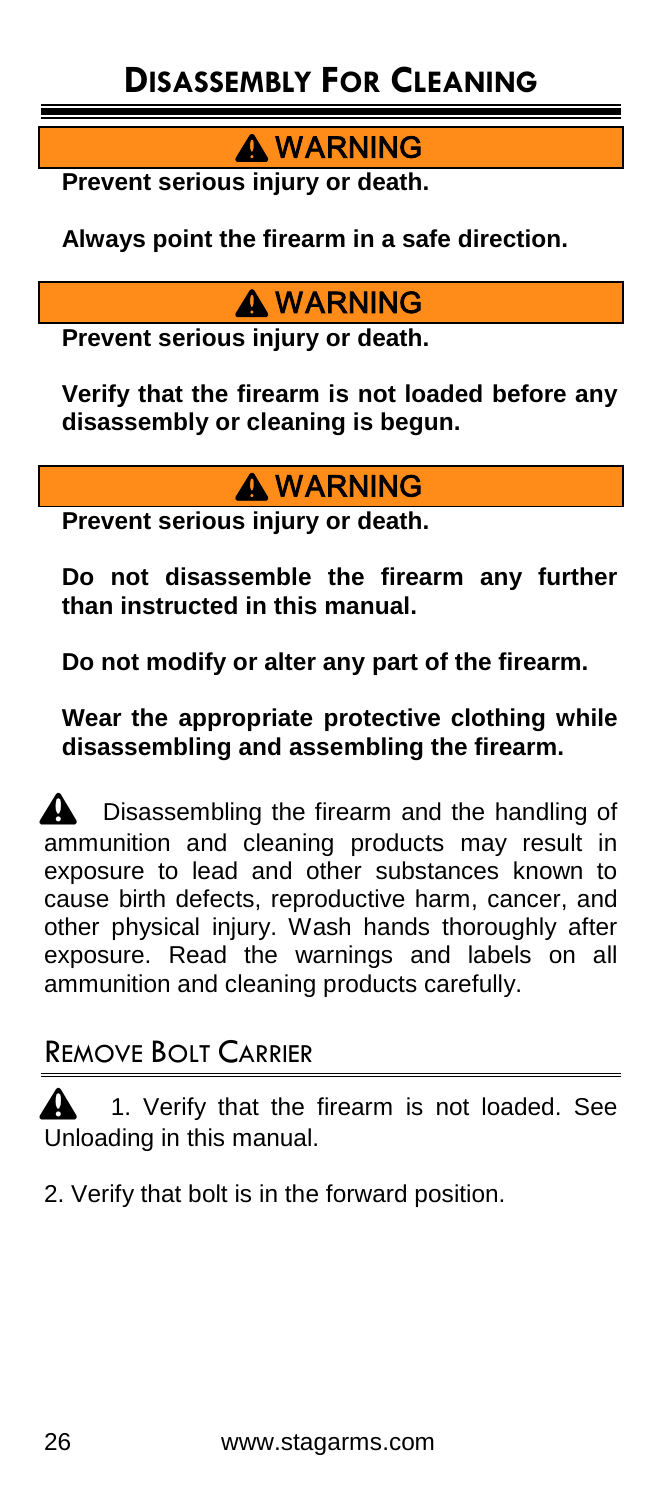**A** WARNING

**Prevent serious injury or death.**

**Always point the firearm in a safe direction.**

### **A** WARNING

**Prevent serious injury or death.**

**Verify that the firearm is not loaded before any disassembly or cleaning is begun.**

### **A WARNING**

**Prevent serious injury or death.**

**Do not disassemble the firearm any further than instructed in this manual.**

**Do not modify or alter any part of the firearm.**

**Wear the appropriate protective clothing while disassembling and assembling the firearm.**

 $\triangle$  Disassembling the firearm and the handling of  $\overline{a}$  ammunition and cleaning products may result in exposure to lead and other substances known to cause birth defects, reproductive harm, cancer, and other physical injury. Wash hands thoroughly after exposure. Read the warnings and labels on all ammunition and cleaning products carefully.

#### REMOVE BOLT CARRIER

**1.** Verify that the firearm is not loaded. See Unloading in this manual.

2. Verify that bolt is in the forward position.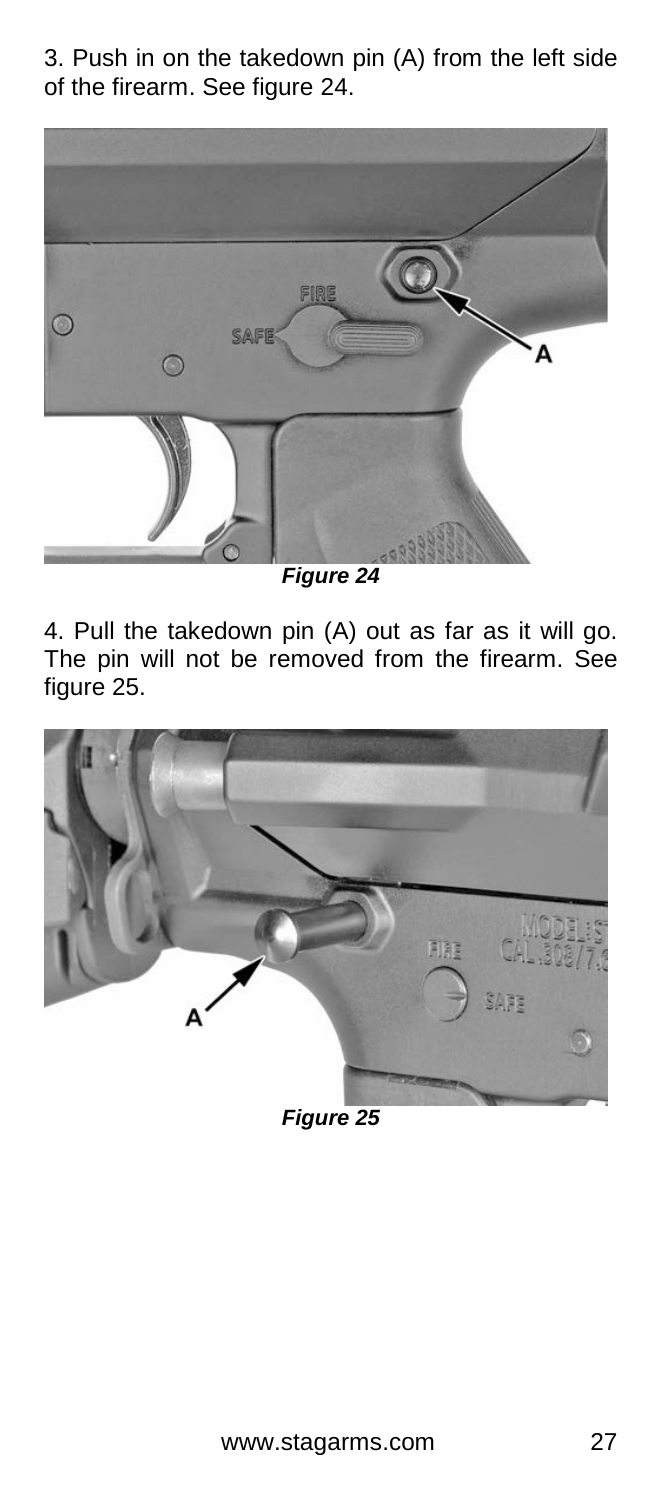3. Push in on the takedown pin (A) from the left side of the firearm. See figure 24.



*Figure 24*

4. Pull the takedown pin (A) out as far as it will go. The pin will not be removed from the firearm. See figure 25.

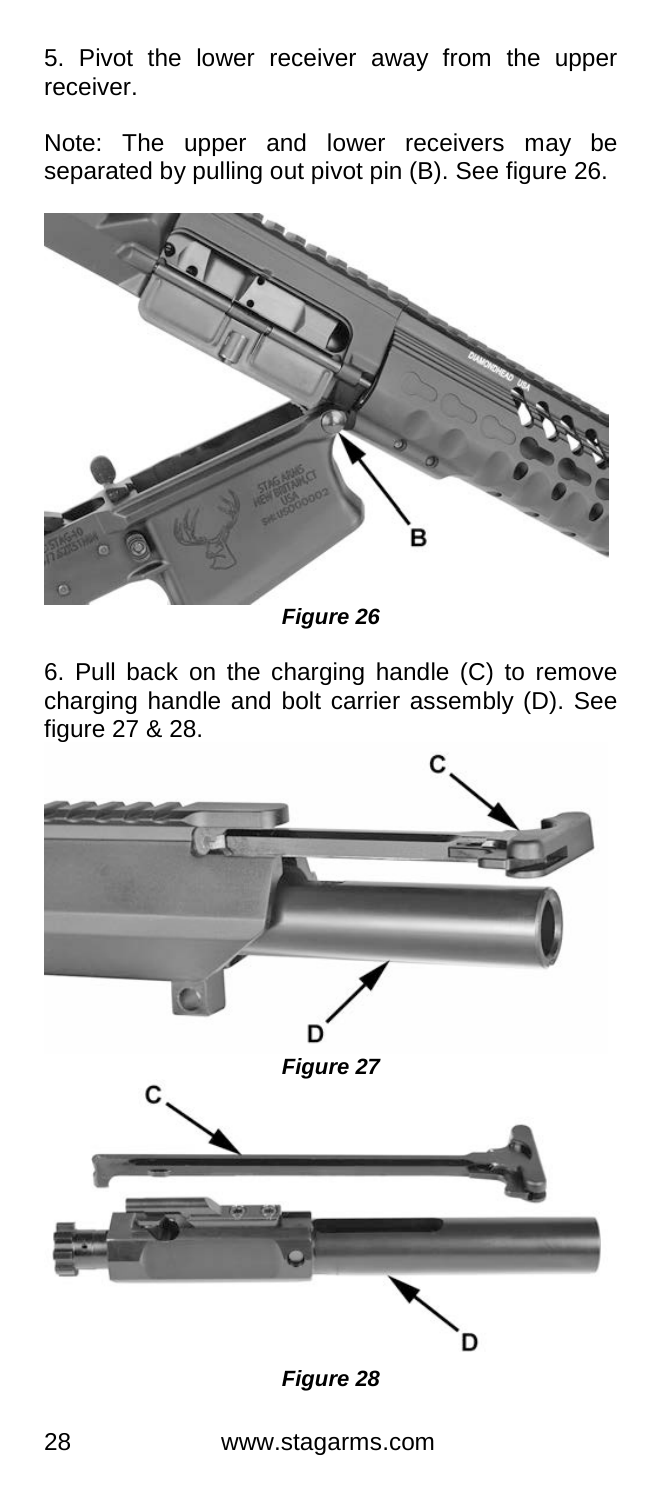5. Pivot the lower receiver away from the upper receiver.

Note: The upper and lower receivers may be separated by pulling out pivot pin (B). See figure 26.



*Figure 26*

6. Pull back on the charging handle (C) to remove charging handle and bolt carrier assembly (D). See figure 27 & 28.

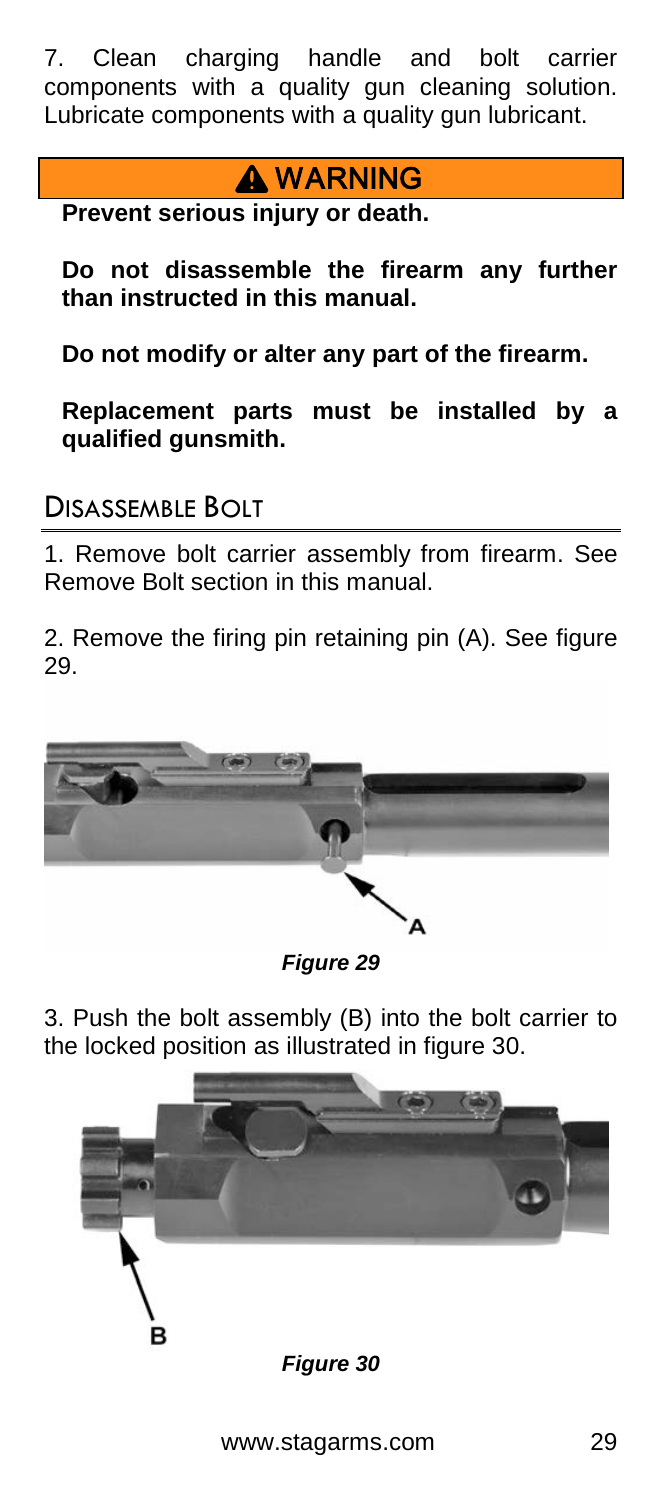7. Clean charging handle and bolt carrier components with a quality gun cleaning solution. Lubricate components with a quality gun lubricant.

### **A WARNING**

**Prevent serious injury or death.**

**Do not disassemble the firearm any further than instructed in this manual.**

**Do not modify or alter any part of the firearm.**

**Replacement parts must be installed by a qualified gunsmith.**

#### DISASSEMBLE BOLT

1. Remove bolt carrier assembly from firearm. See Remove Bolt section in this manual.

2. Remove the firing pin retaining pin (A). See figure 29.



*Figure 29*

3. Push the bolt assembly (B) into the bolt carrier to the locked position as illustrated in figure 30.

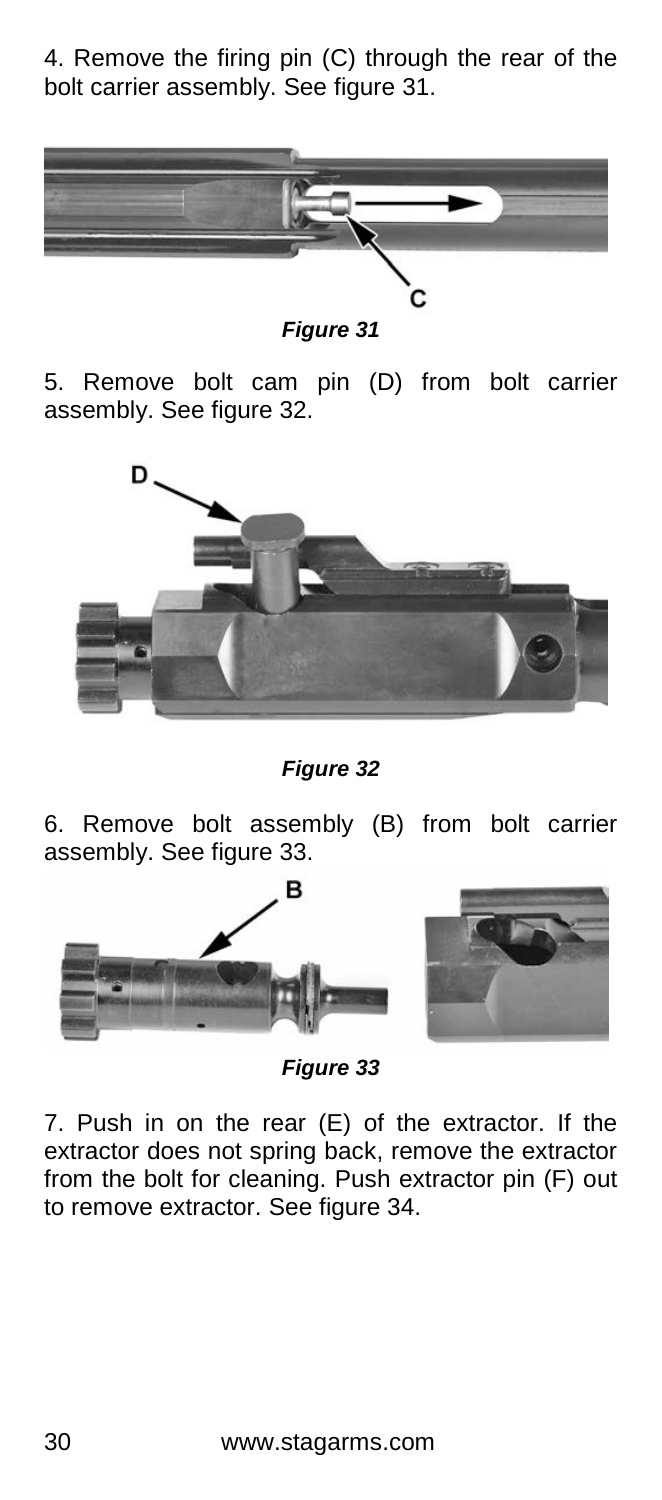4. Remove the firing pin (C) through the rear of the bolt carrier assembly. See figure 31.



*Figure 31*

5. Remove bolt cam pin (D) from bolt carrier assembly. See figure 32.



*Figure 32*

6. Remove bolt assembly (B) from bolt carrier assembly. See figure 33.





*Figure 33*

7. Push in on the rear (E) of the extractor. If the extractor does not spring back, remove the extractor from the bolt for cleaning. Push extractor pin (F) out to remove extractor. See figure 34.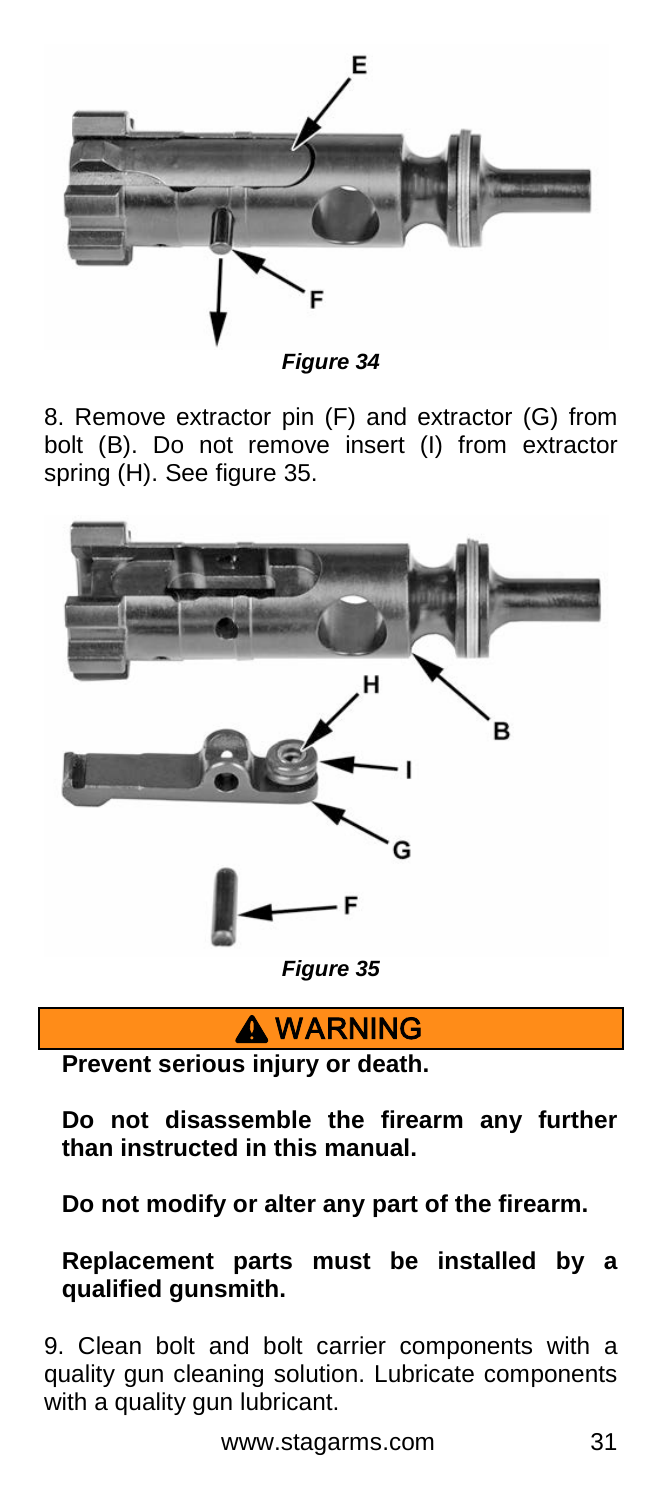

*Figure 34*

8. Remove extractor pin (F) and extractor (G) from bolt (B). Do not remove insert (I) from extractor spring (H). See figure 35.



**A WARNING** 

**Prevent serious injury or death.**

**Do not disassemble the firearm any further than instructed in this manual.**

**Do not modify or alter any part of the firearm.**

**Replacement parts must be installed by a qualified gunsmith.**

9. Clean bolt and bolt carrier components with a quality gun cleaning solution. Lubricate components with a quality gun lubricant.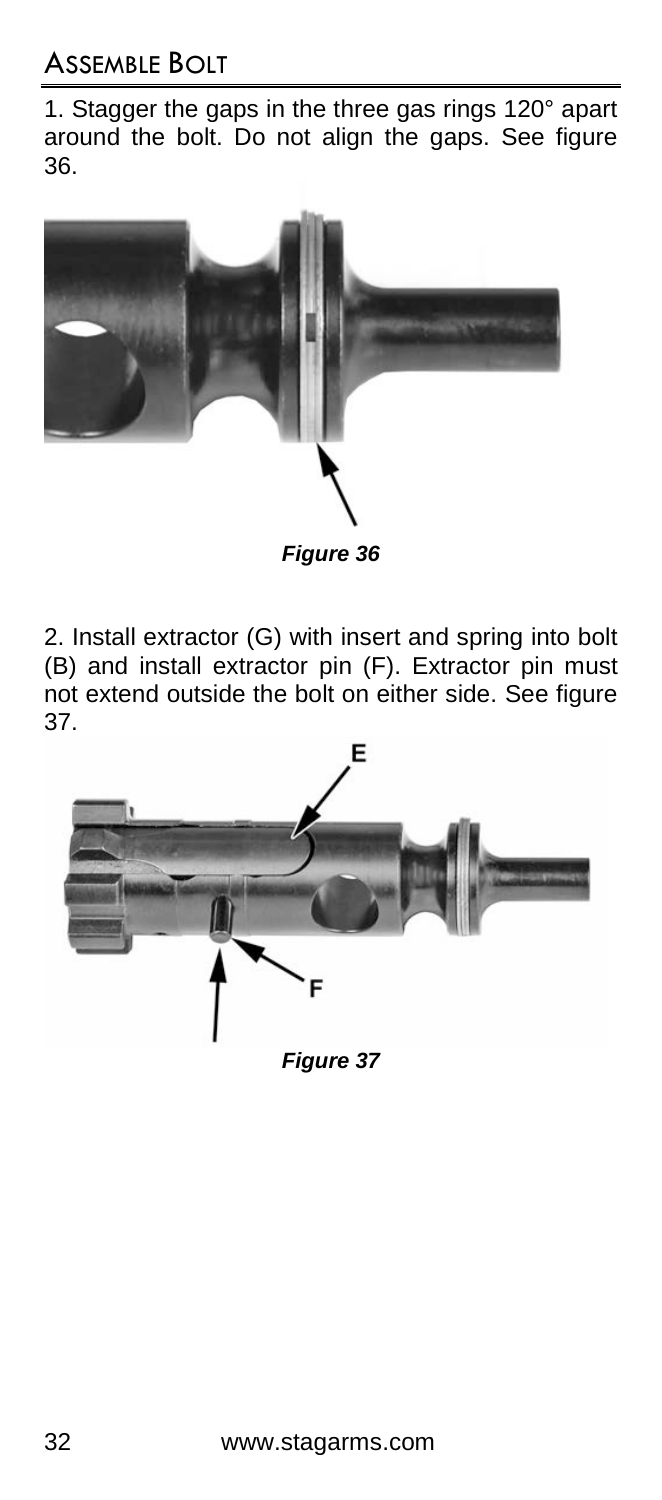1. Stagger the gaps in the three gas rings 120° apart around the bolt. Do not align the gaps. See figure 36.



*Figure 36*

2. Install extractor (G) with insert and spring into bolt (B) and install extractor pin (F). Extractor pin must not extend outside the bolt on either side. See figure 37.

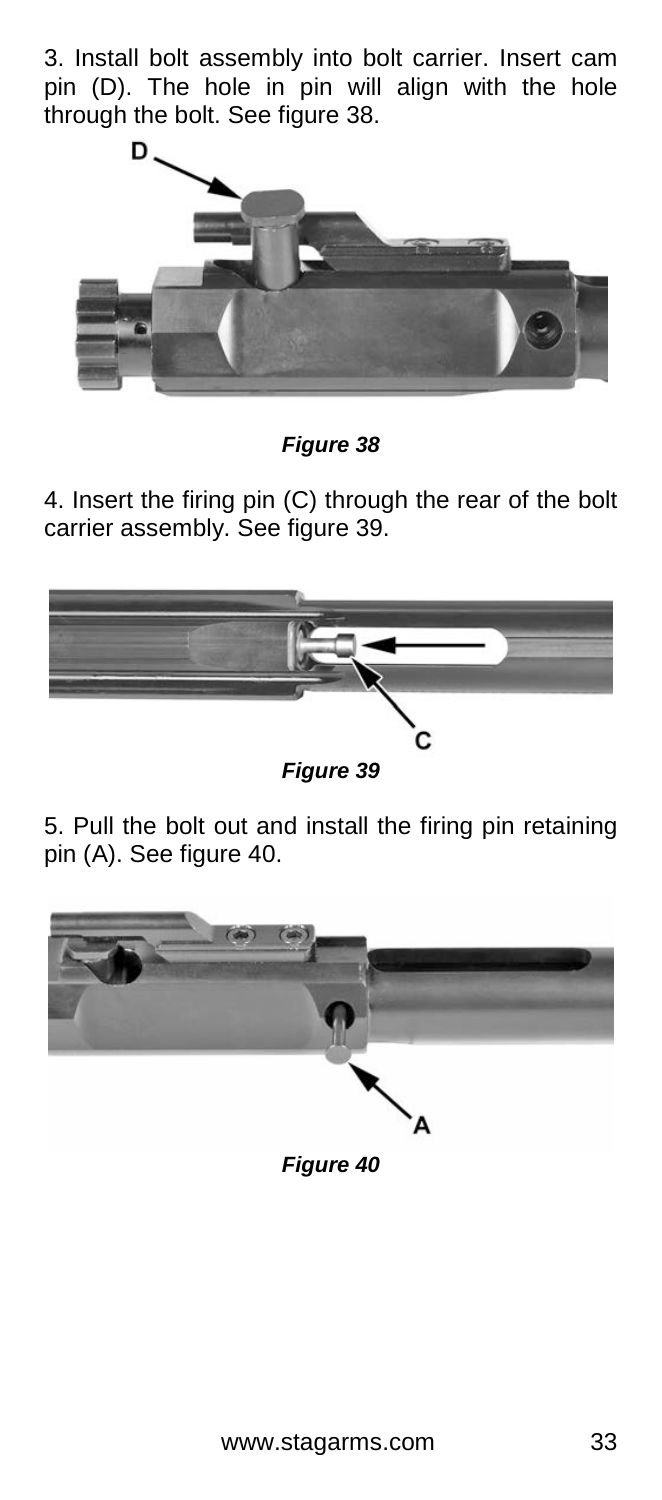3. Install bolt assembly into bolt carrier. Insert cam pin (D). The hole in pin will align with the hole through the bolt. See figure 38.



*Figure 38*

4. Insert the firing pin (C) through the rear of the bolt carrier assembly. See figure 39.



*Figure 39*

5. Pull the bolt out and install the firing pin retaining pin (A). See figure 40.

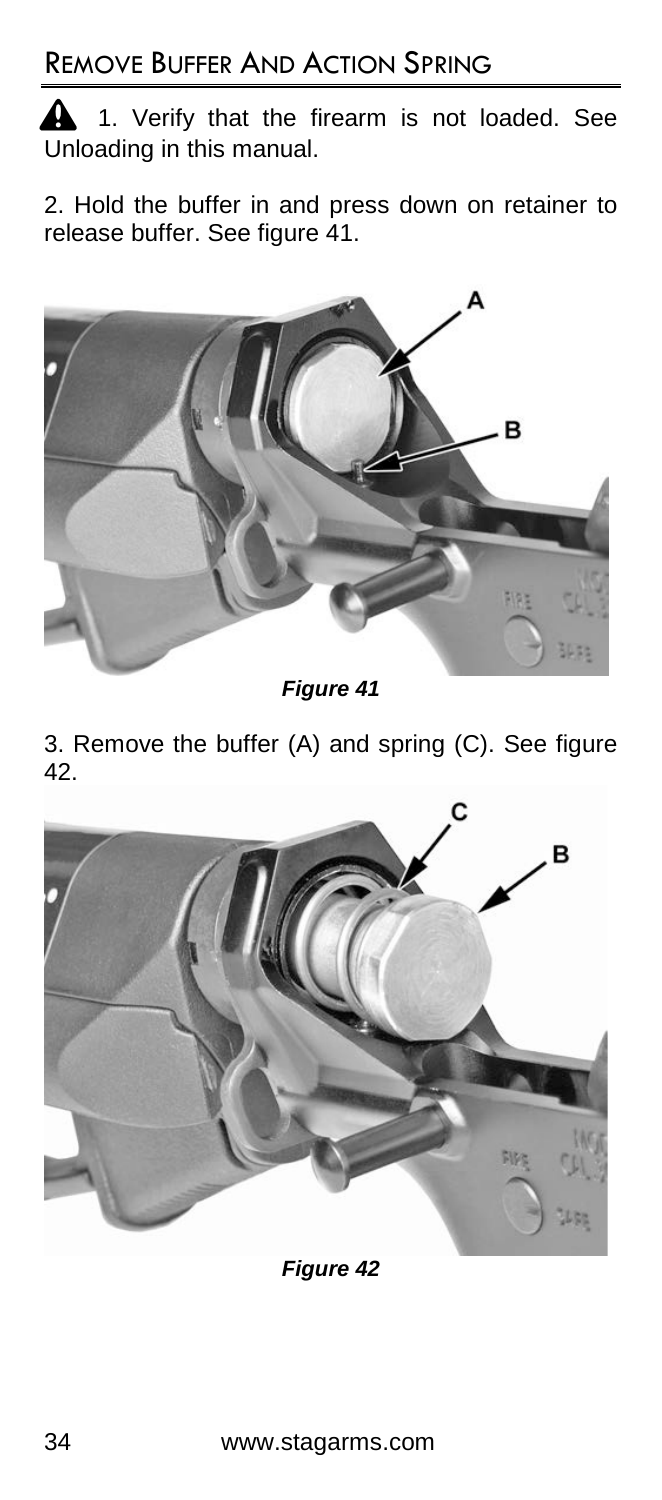1. Verify that the firearm is not loaded. See Unloading in this manual.

2. Hold the buffer in and press down on retainer to release buffer. See figure 41.



*Figure 41*

3. Remove the buffer (A) and spring (C). See figure 42.



*Figure 42*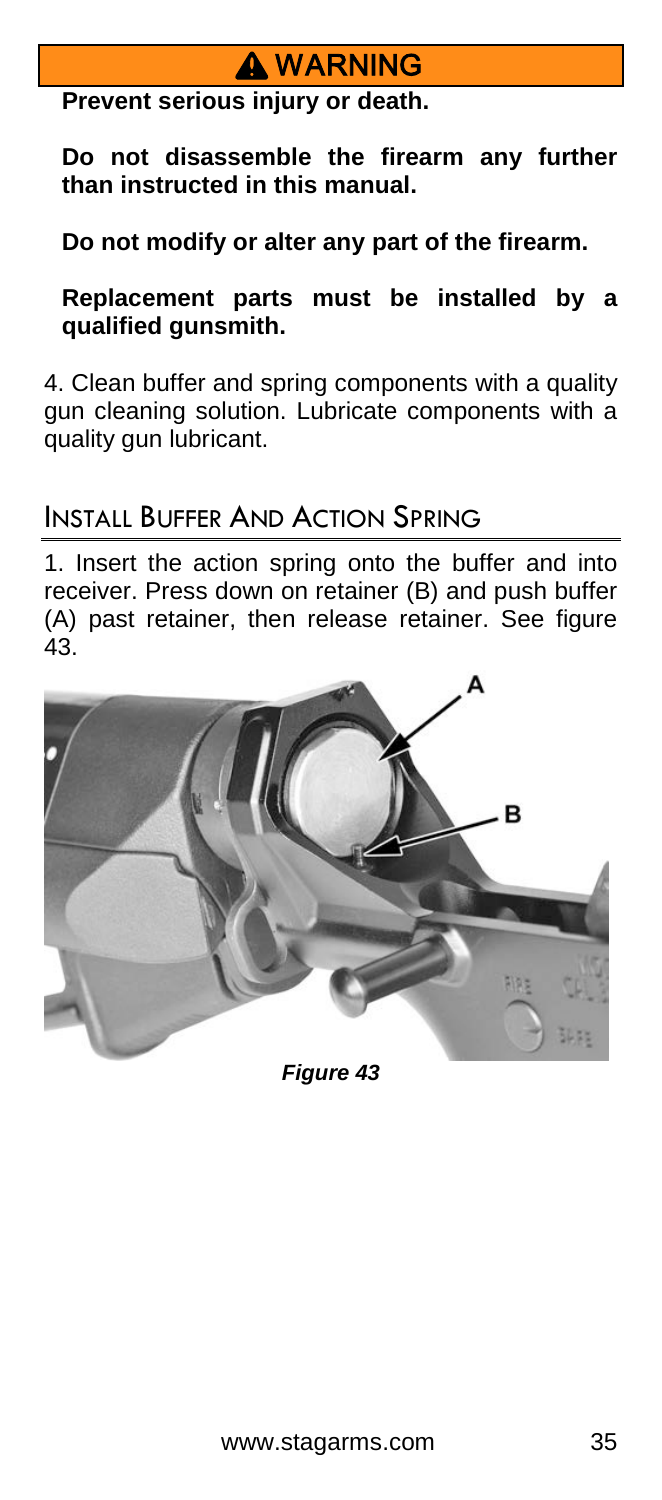# **A** WARNING

**Prevent serious injury or death.**

**Do not disassemble the firearm any further than instructed in this manual.**

**Do not modify or alter any part of the firearm.**

**Replacement parts must be installed by a qualified gunsmith.**

4. Clean buffer and spring components with a quality gun cleaning solution. Lubricate components with a quality gun lubricant.

#### INSTALL BUFFER AND ACTION SPRING

1. Insert the action spring onto the buffer and into receiver. Press down on retainer (B) and push buffer (A) past retainer, then release retainer. See figure 43.



*Figure 43*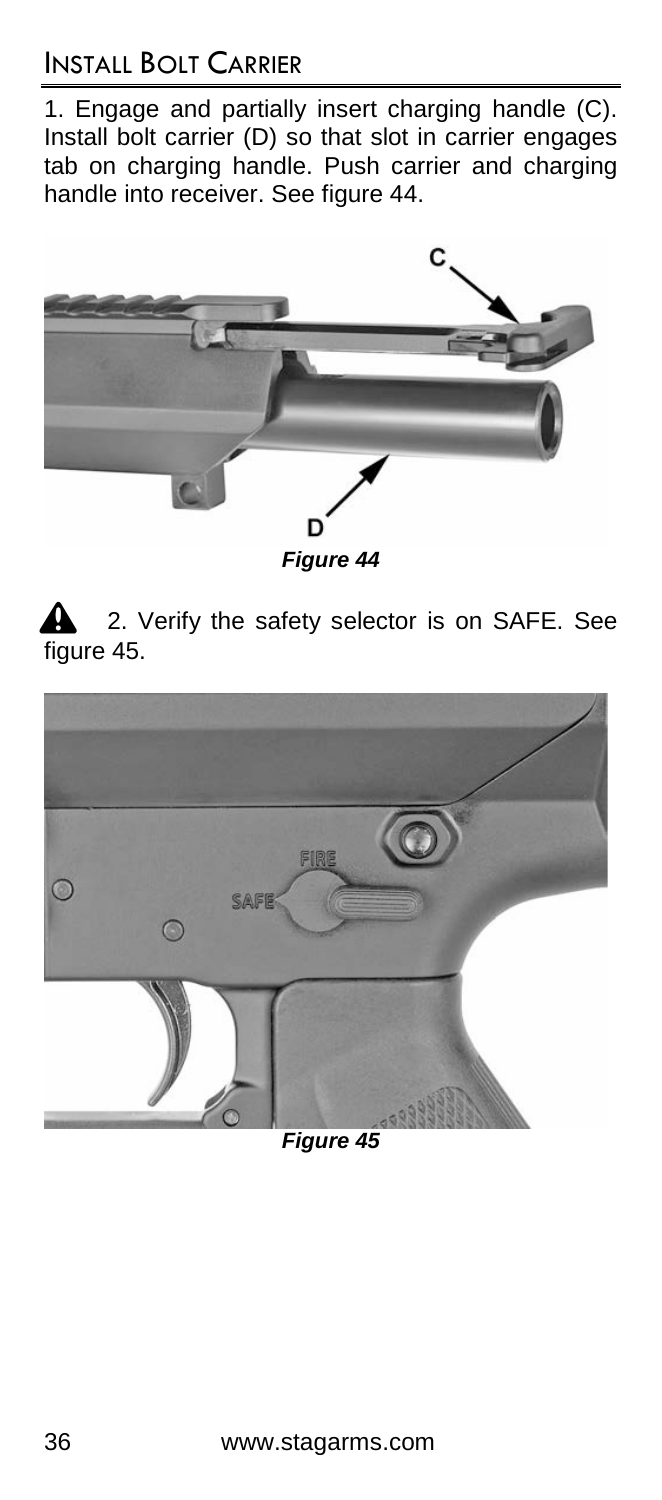### INSTALL BOLT CARRIER

1. Engage and partially insert charging handle (C). Install bolt carrier (D) so that slot in carrier engages tab on charging handle. Push carrier and charging handle into receiver. See figure 44.



2. Verify the safety selector is on SAFE. See figure 45.



*Figure 45*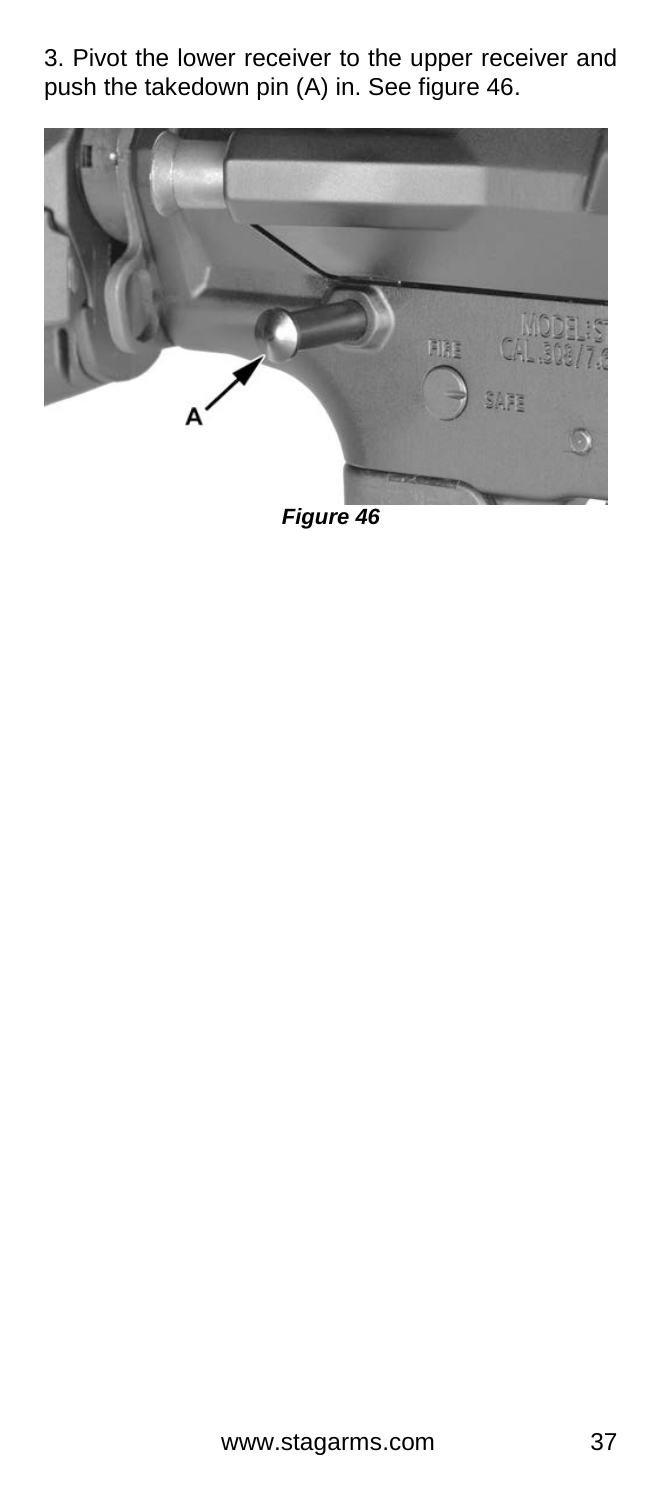3. Pivot the lower receiver to the upper receiver and push the takedown pin (A) in. See figure 46.



*Figure 46*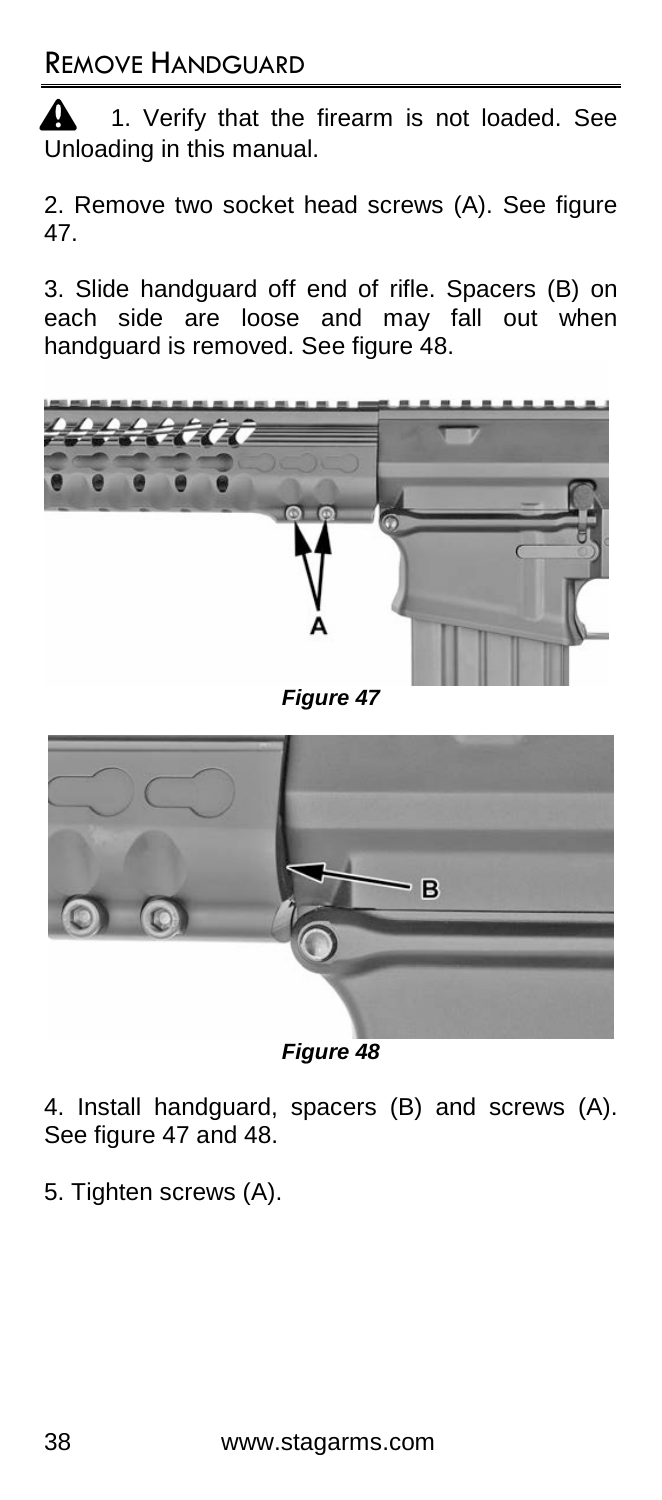$\triangle$  1. Verify that the firearm is not loaded. See Unloading in this manual.

2. Remove two socket head screws (A). See figure 47.

3. Slide handguard off end of rifle. Spacers (B) on each side are loose and may fall out when handguard is removed. See figure 48.



*Figure 47*



*Figure 48*

4. Install handguard, spacers (B) and screws (A). See figure 47 and 48.

5. Tighten screws (A).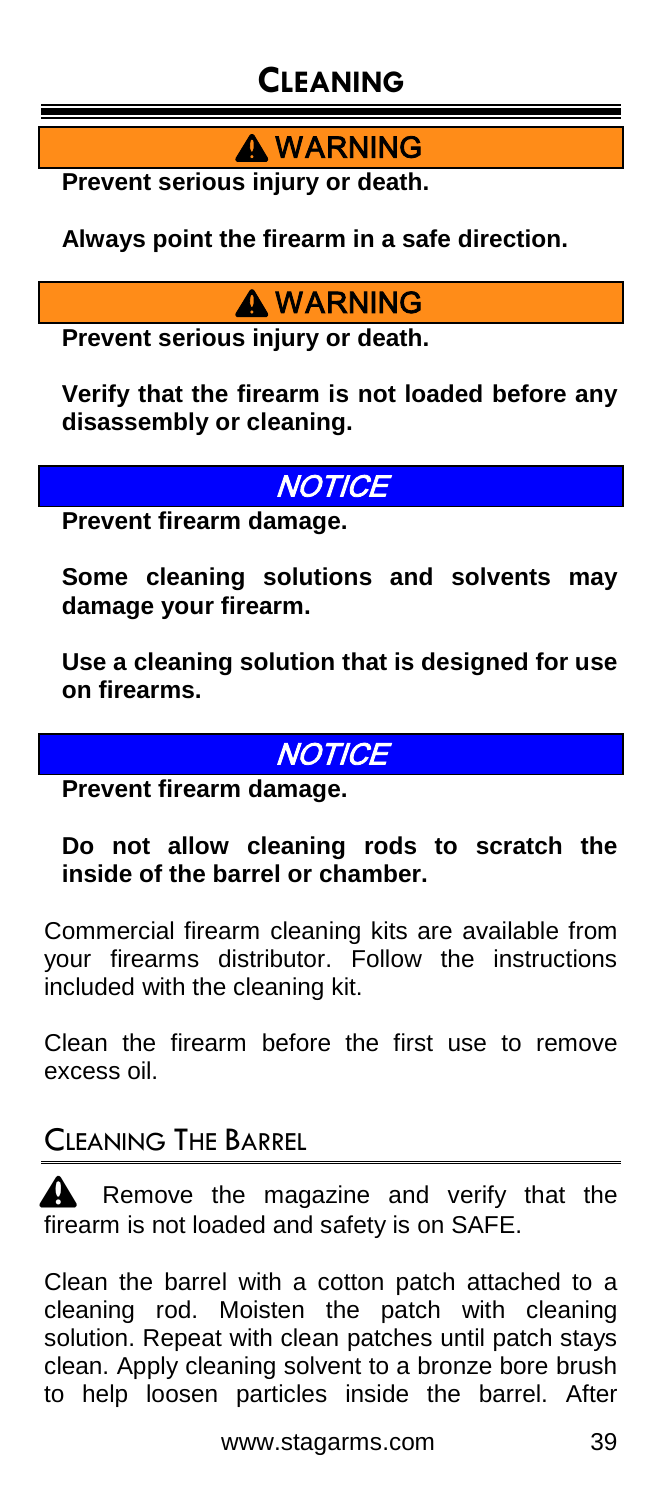# **CLEANING**

**A** WARNING

**Prevent serious injury or death.**

**Always point the firearm in a safe direction.**

### **A** WARNING

**Prevent serious injury or death.**

**Verify that the firearm is not loaded before any disassembly or cleaning.**

### **IOTICE**

**Prevent firearm damage.**

**Some cleaning solutions and solvents may damage your firearm.**

**Use a cleaning solution that is designed for use on firearms.**

#### **NOTICE**

**Prevent firearm damage.**

#### **Do not allow cleaning rods to scratch the inside of the barrel or chamber.**

Commercial firearm cleaning kits are available from your firearms distributor. Follow the instructions included with the cleaning kit.

Clean the firearm before the first use to remove excess oil.

### CLEANING THE BARREL

Remove the magazine and verify that the firearm is not loaded and safety is on SAFE.

Clean the barrel with a cotton patch attached to a cleaning rod. Moisten the patch with cleaning solution. Repeat with clean patches until patch stays clean. Apply cleaning solvent to a bronze bore brush to help loosen particles inside the barrel. After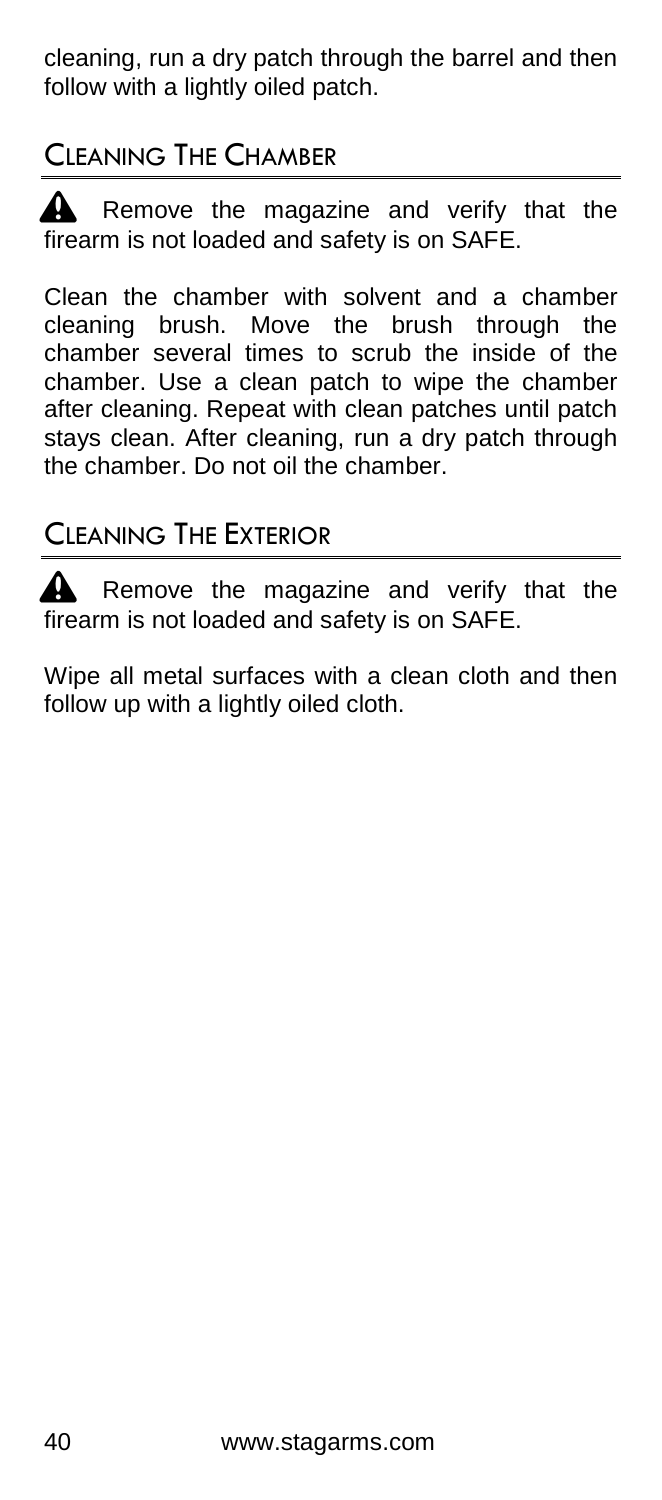cleaning, run a dry patch through the barrel and then follow with a lightly oiled patch.

### CLEANING THE CHAMBER

Remove the magazine and verify that the firearm is not loaded and safety is on SAFE.

Clean the chamber with solvent and a chamber cleaning brush. Move the brush through the chamber several times to scrub the inside of the chamber. Use a clean patch to wipe the chamber after cleaning. Repeat with clean patches until patch stays clean. After cleaning, run a dry patch through the chamber. Do not oil the chamber.

### CLEANING THE EXTERIOR

 $\triangle$  Remove the magazine and verify that the firearm is not loaded and safety is on SAFE.

Wipe all metal surfaces with a clean cloth and then follow up with a lightly oiled cloth.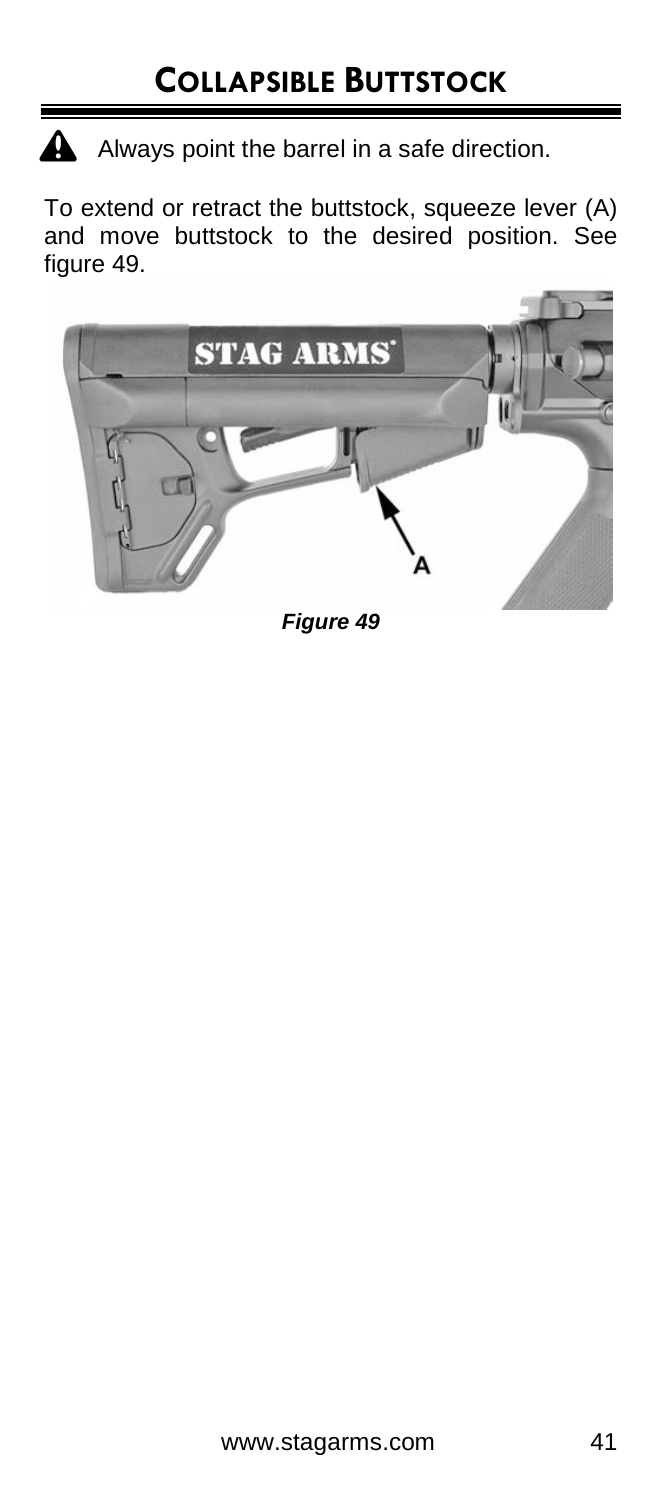A Always point the barrel in a safe direction.

To extend or retract the buttstock, squeeze lever (A) and move buttstock to the desired position. See figure 49.



*Figure 49*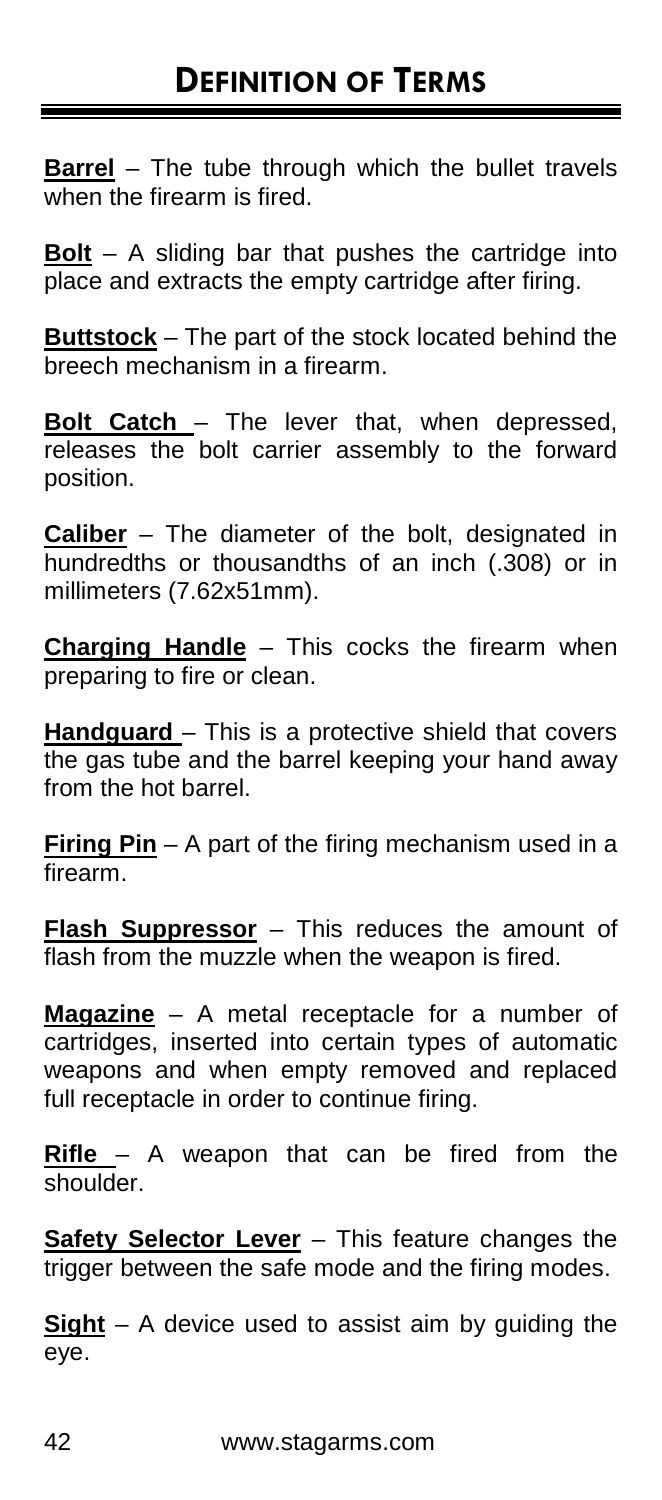**Barrel** – The tube through which the bullet travels when the firearm is fired.

**Bolt** – A sliding bar that pushes the cartridge into place and extracts the empty cartridge after firing.

**Buttstock** – The part of the stock located behind the breech mechanism in a firearm.

**Bolt Catch** – The lever that, when depressed, releases the bolt carrier assembly to the forward position.

**Caliber** – The diameter of the bolt, designated in hundredths or thousandths of an inch (.308) or in millimeters (7.62x51mm).

**Charging Handle** – This cocks the firearm when preparing to fire or clean.

**Handguard** – This is a protective shield that covers the gas tube and the barrel keeping your hand away from the hot barrel.

**Firing Pin** – A part of the firing mechanism used in a firearm.

**Flash Suppressor** – This reduces the amount of flash from the muzzle when the weapon is fired.

**Magazine** – A metal receptacle for a number of cartridges, inserted into certain types of automatic weapons and when empty removed and replaced full receptacle in order to continue firing.

**Rifle** – A weapon that can be fired from the shoulder.

**Safety Selector Lever** - This feature changes the trigger between the safe mode and the firing modes.

**Sight** – A device used to assist aim by guiding the eye.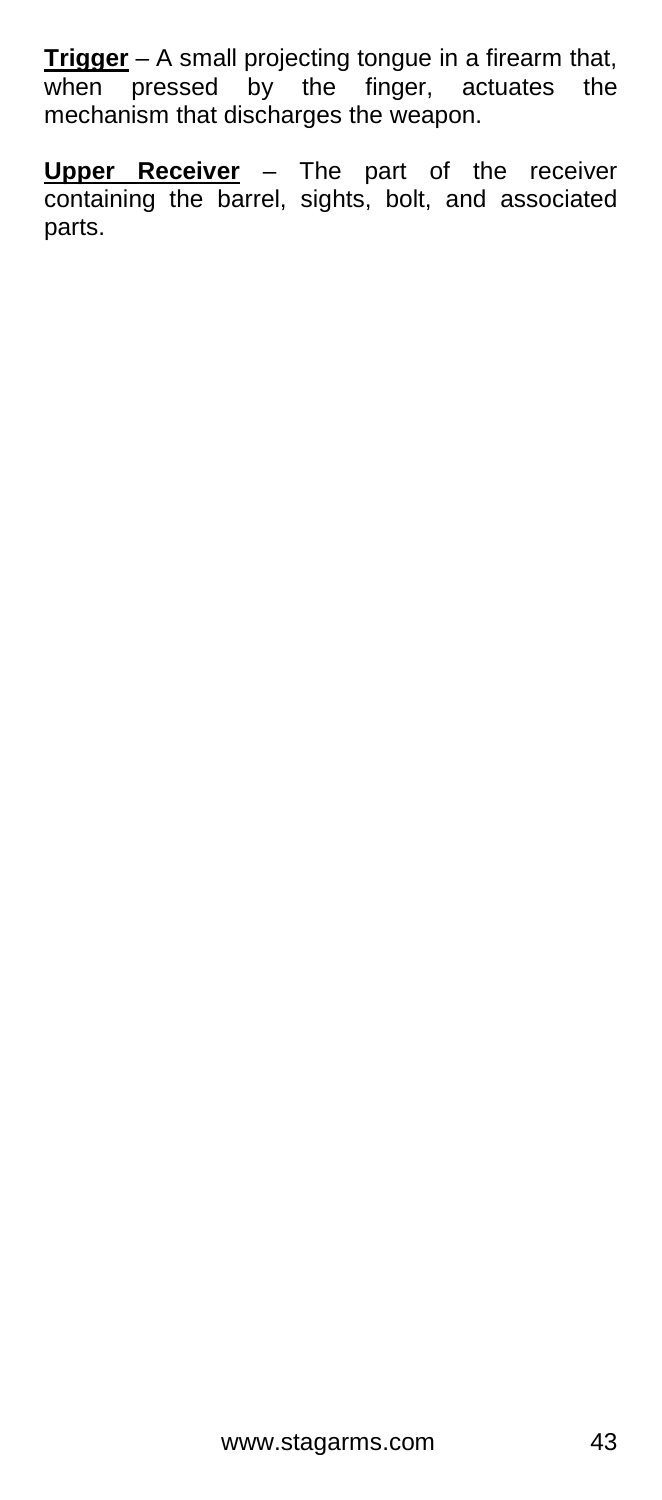**Trigger** – A small projecting tongue in a firearm that, when pressed by the finger, actuates the mechanism that discharges the weapon.

**Upper Receiver** – The part of the receiver containing the barrel, sights, bolt, and associated parts.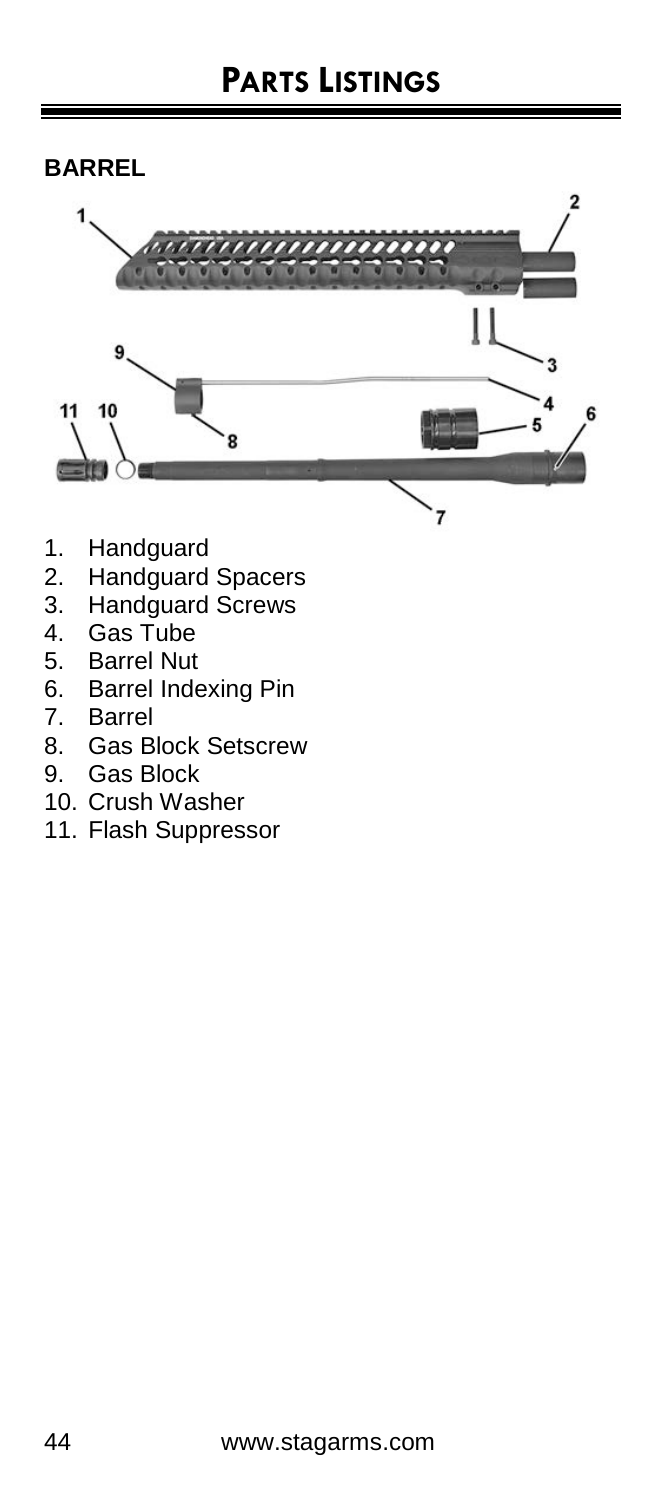#### **BARREL**



- 1. Handguard<br>2. Handguard
- Handguard Spacers
- 3. Handguard Screws
- 4. Gas Tube<br>5. Barrel Nut
- 5. Barrel Nut
- 6. Barrel Indexing Pin
- 7. Barrel
- 8. Gas Block Setscrew
- 9. Gas Block
- 10. Crush Washer
- 11. Flash Suppressor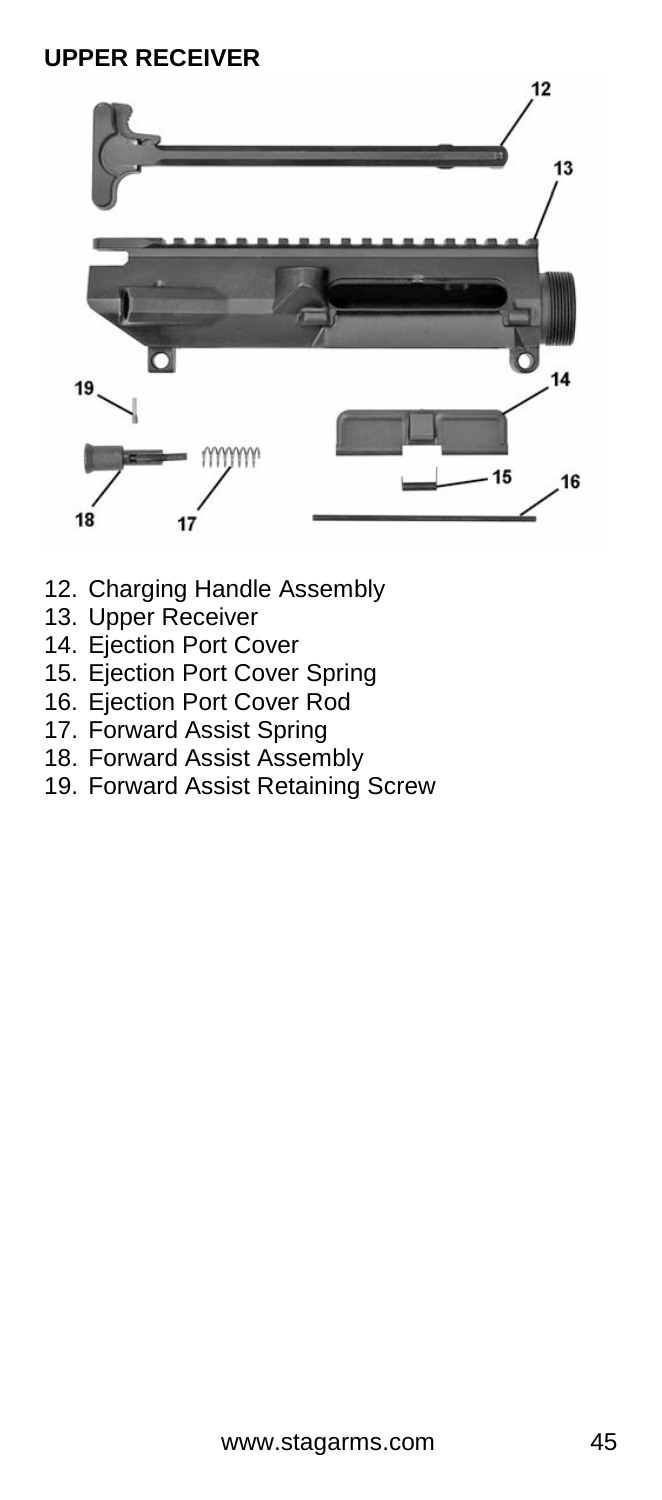#### **UPPER RECEIVER**



- 12. Charging Handle Assembly
- 13. Upper Receiver
- 14. Ejection Port Cover
- 15. Ejection Port Cover Spring
- 16. Ejection Port Cover Rod
- 17. Forward Assist Spring
- 18. Forward Assist Assembly
- 19. Forward Assist Retaining Screw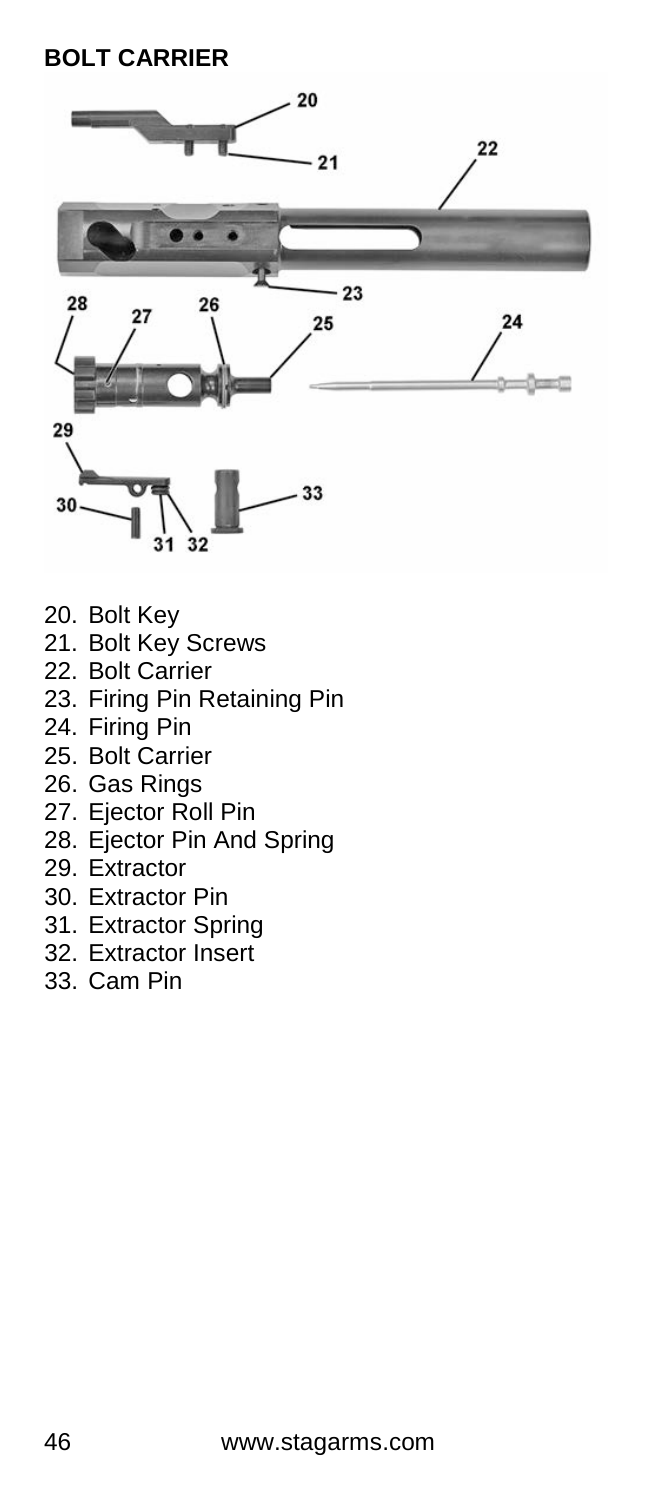#### **BOLT CARRIER**



- 20. Bolt Key
- 21. Bolt Key Screws
- 22. Bolt Carrier
- 23. Firing Pin Retaining Pin
- 24. Firing Pin
- 25. Bolt Carrier
- 26. Gas Rings
- 27. Ejector Roll Pin
- 28. Ejector Pin And Spring
- 29. Extractor
- 30. Extractor Pin
- 31. Extractor Spring
- 32. Extractor Insert
- 33. Cam Pin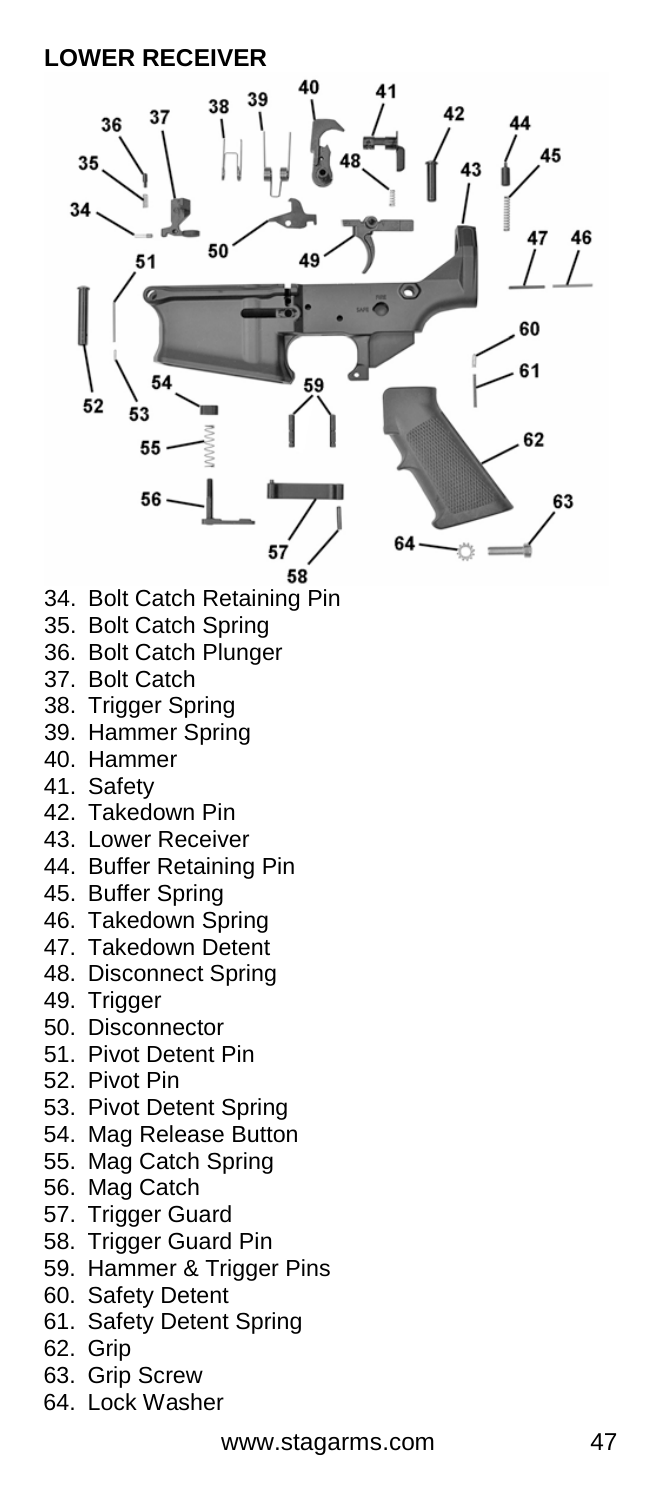#### **LOWER RECEIVER**

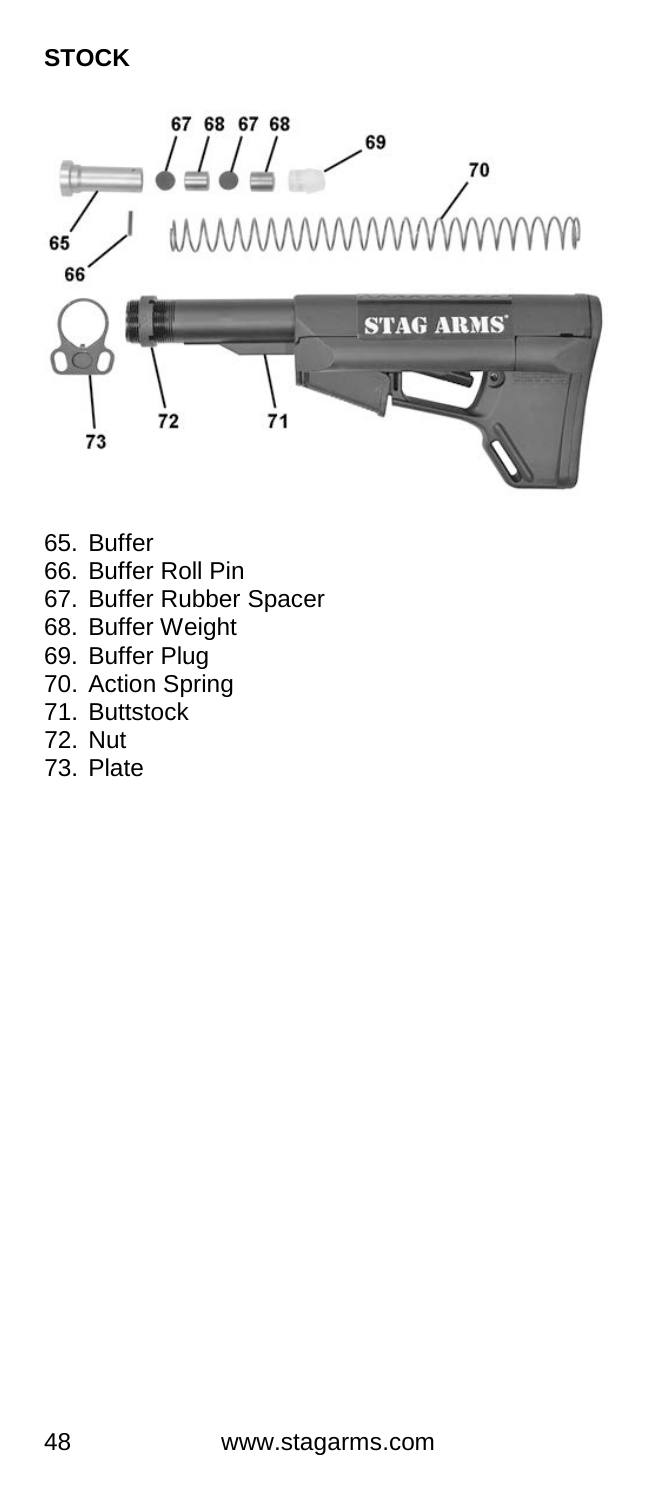#### **STOCK**



- 65. Buffer
- 66. Buffer Roll Pin
- 67. Buffer Rubber Spacer
- 68. Buffer Weight
- 69. Buffer Plug
- 70. Action Spring
- 71. Buttstock
- 72. Nut
- 73. Plate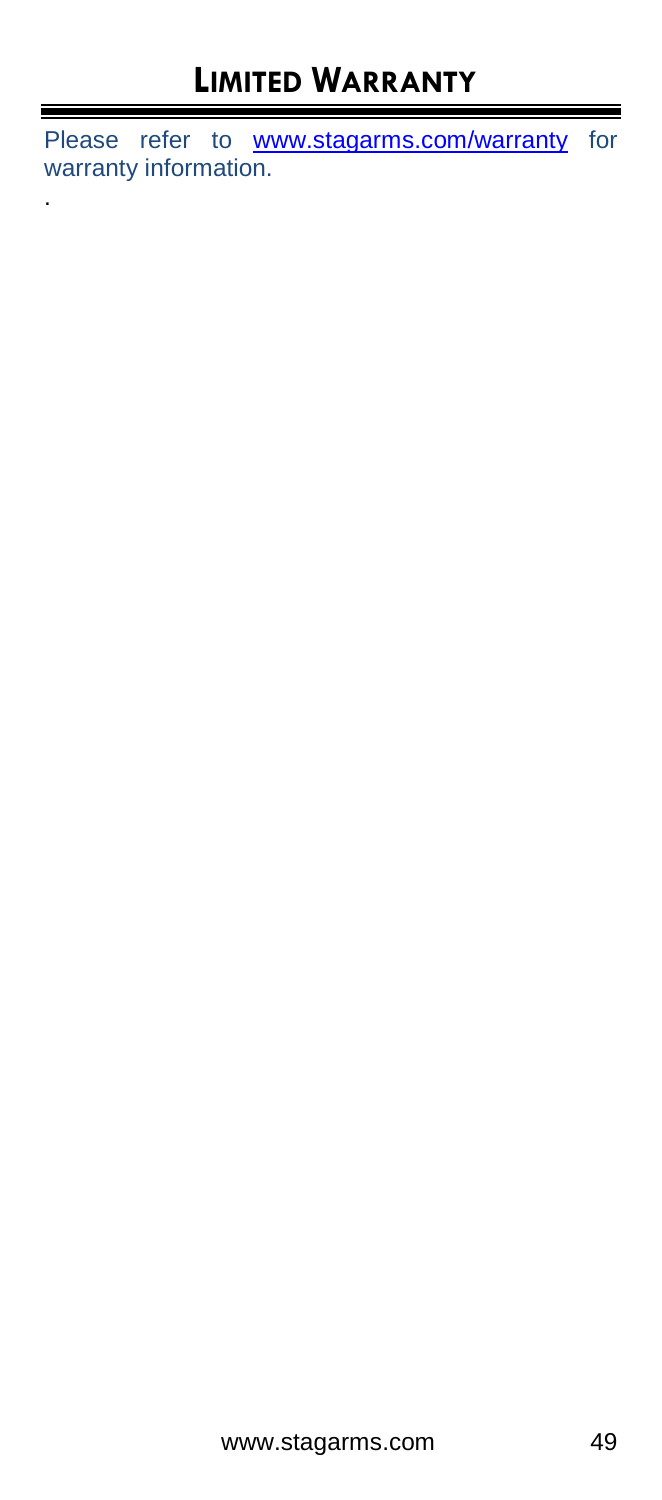Please refer to **[www.stagarms.com/warranty](http://www.stagarms.com/warranty)** for warranty information.

.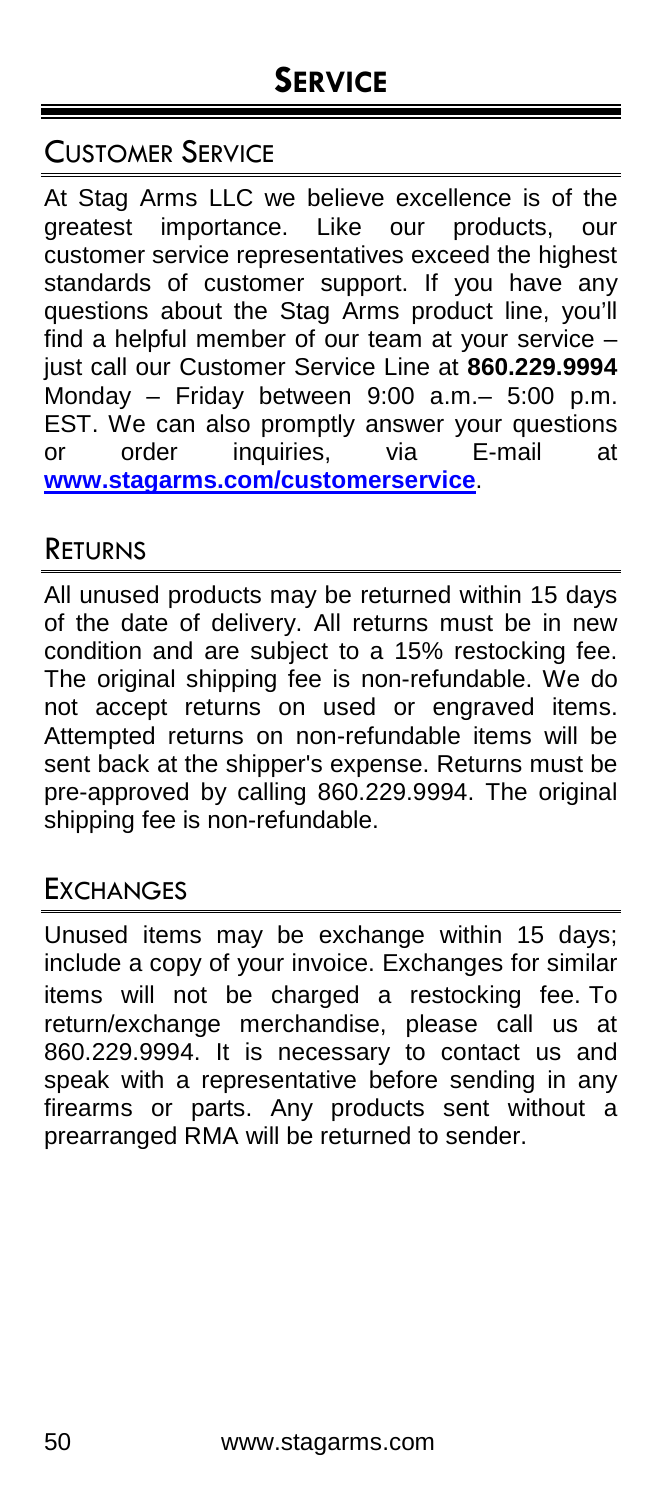### CUSTOMER SERVICE

At Stag Arms LLC we believe excellence is of the greatest importance. Like our products, our customer service representatives exceed the highest standards of customer support. If you have any questions about the Stag Arms product line, you'll find a helpful member of our team at your service – just call our Customer Service Line at **860.229.9994** Monday – Friday between 9:00 a.m.– 5:00 p.m. EST. We can also promptly answer your questions or order inquiries, via E-mail at **[www.stagarms.com/customerservice](http://www.stagarms.com/customerservice)**.

#### RETURNS

All unused products may be returned within 15 days of the date of delivery. All returns must be in new condition and are subject to a 15% restocking fee. The original shipping fee is non-refundable. We do not accept returns on used or engraved items. Attempted returns on non-refundable items will be sent back at the shipper's expense. Returns must be pre-approved by calling 860.229.9994. The original shipping fee is non-refundable.

#### **EXCHANGES**

Unused items may be exchange within 15 days; include a copy of your invoice. Exchanges for similar items will not be charged a restocking fee. To return/exchange merchandise, please call us at 860.229.9994. It is necessary to contact us and speak with a representative before sending in any firearms or parts. Any products sent without a prearranged RMA will be returned to sender.